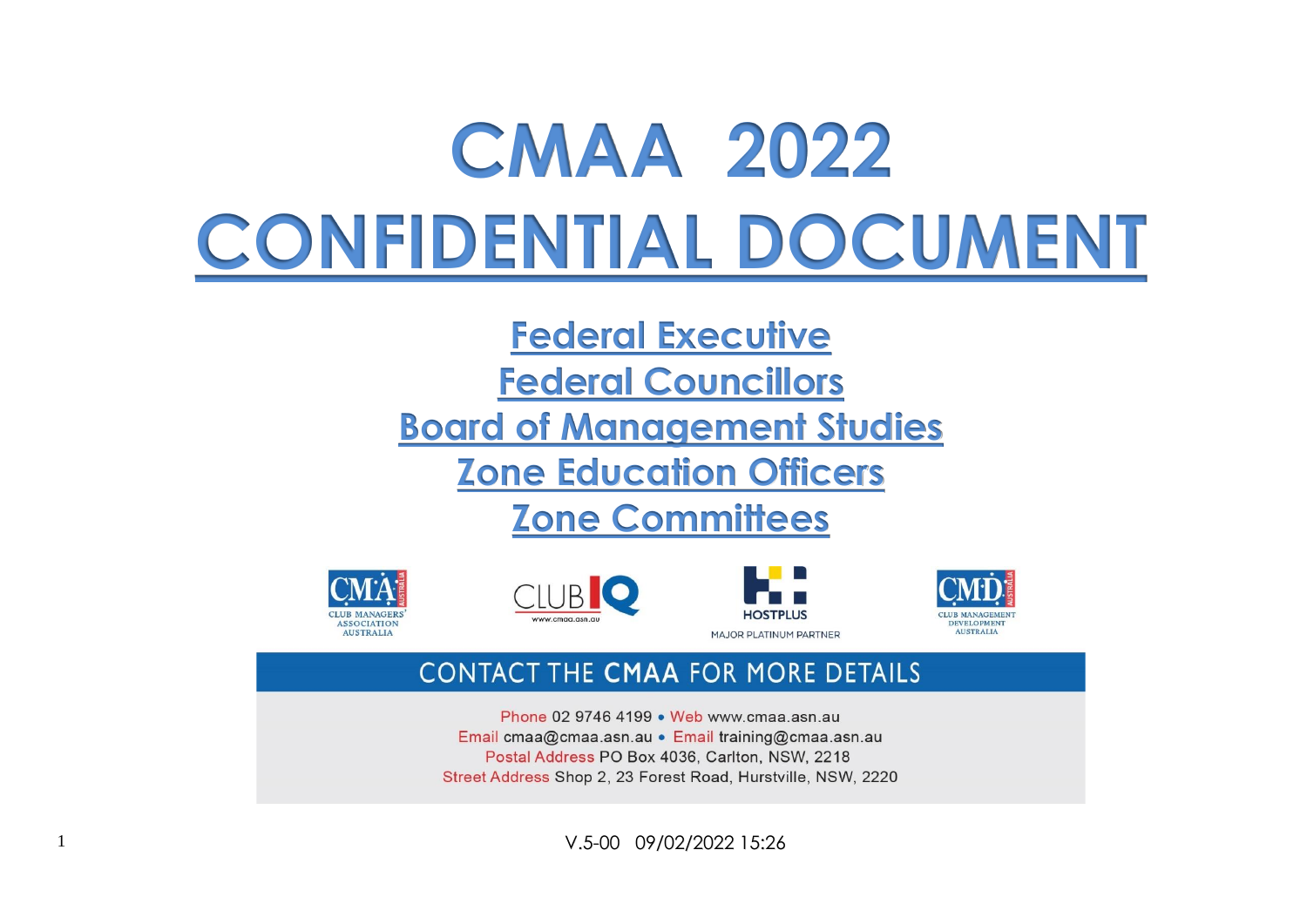# **CMAA 2022 CONFIDENTIAL DOCUMENT**

# **Federal Executive**

**Federal Councillors**

**Board of Management Studies**

**Zone Education Officers**

# **Zone Committees**









# **CONTACT THE CMAA FOR MORE DETAILS**

Phone 02 9746 4199 • Web www.cmaa.asn.au Email cmaa@cmaa.asn.au • Email training@cmaa.asn.au Postal Address PO Box 4036, Carlton, NSW, 2218 Street Address Shop 2, 23 Forest Road, Hurstville, NSW, 2220

1 V.5-00 09/02/2022 15:26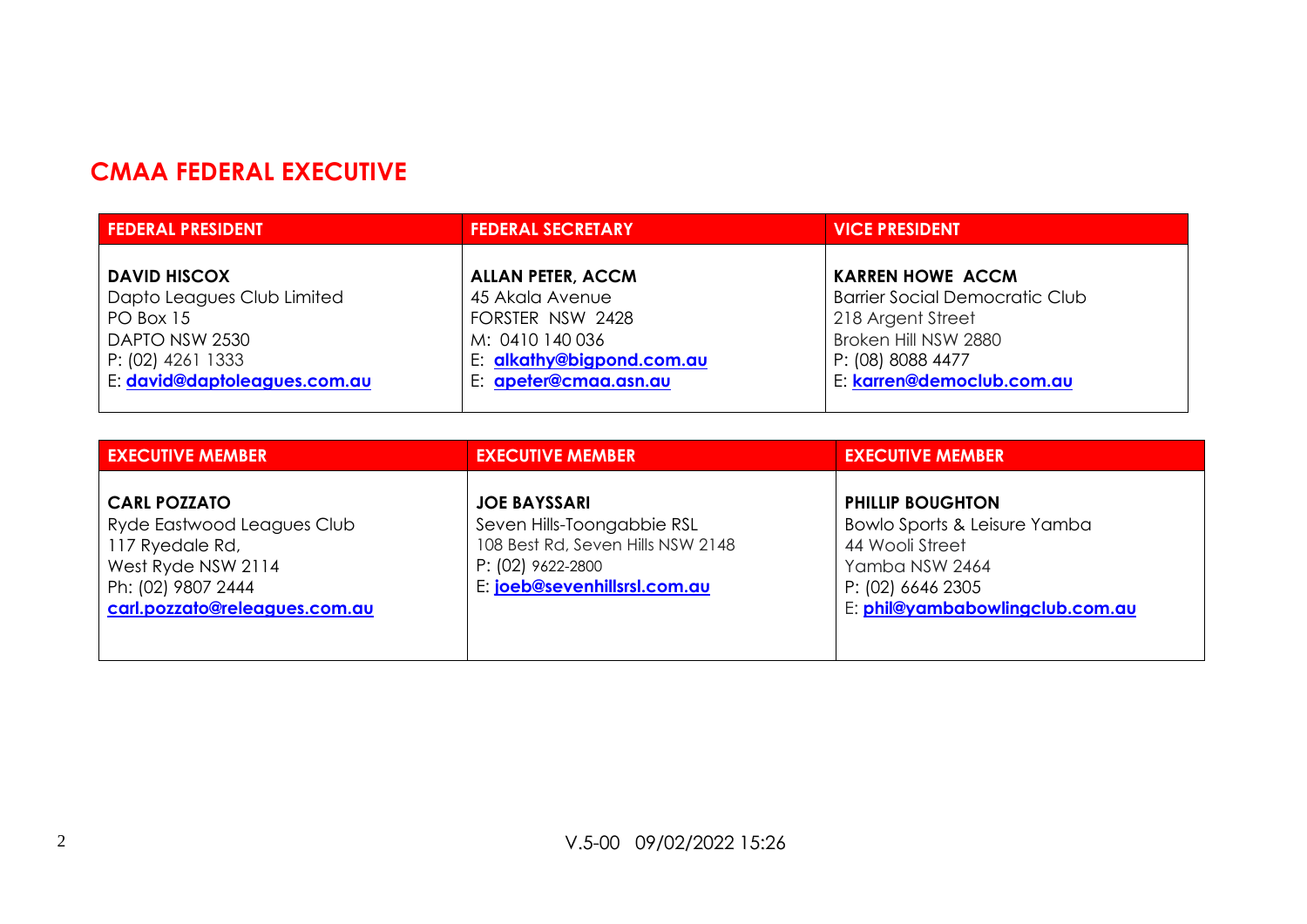# **CMAA FEDERAL EXECUTIVE**

| <b>FEDERAL PRESIDENT</b>     | <b>FEDERAL SECRETARY</b>  | <b>VICE PRESIDENT</b>                 |
|------------------------------|---------------------------|---------------------------------------|
|                              |                           |                                       |
| <b>DAVID HISCOX</b>          | <b>ALLAN PETER, ACCM</b>  | <b>KARREN HOWE ACCM</b>               |
| Dapto Leagues Club Limited   | 45 Akala Avenue           | <b>Barrier Social Democratic Club</b> |
| PO Box 15                    | FORSTER NSW 2428          | 218 Argent Street                     |
| DAPTO NSW 2530               | M: 0410 140 036           | Broken Hill NSW 2880                  |
| P: (02) 4261 1333            | E: alkathy@bigpond.com.au | P: (08) 8088 4477                     |
| E: david@daptoleagues.com.au | E: apeter@cmaa.asn.au     | E: karren@democlub.com.au             |
|                              |                           |                                       |

| <b>EXECUTIVE MEMBER</b>                                                                                                                           | <b>EXECUTIVE MEMBER</b>                                                                                                                     | <b>EXECUTIVE MEMBER</b>                                                                                                                              |
|---------------------------------------------------------------------------------------------------------------------------------------------------|---------------------------------------------------------------------------------------------------------------------------------------------|------------------------------------------------------------------------------------------------------------------------------------------------------|
| <b>CARL POZZATO</b><br>Ryde Eastwood Leagues Club<br>117 Ryedale Rd,<br>West Ryde NSW 2114<br>Ph: (02) 9807 2444<br>carl.pozzato@releagues.com.au | <b>JOE BAYSSARI</b><br>Seven Hills-Toongabbie RSL<br>108 Best Rd, Seven Hills NSW 2148<br>P: (02) 9622-2800<br>E: joeb@sevenhillsrsl.com.au | <b>PHILLIP BOUGHTON</b><br>Bowlo Sports & Leisure Yamba<br>44 Wooli Street<br>Yamba NSW 2464<br>P: (02) 6646 2305<br>E: phil@yambabowlingclub.com.au |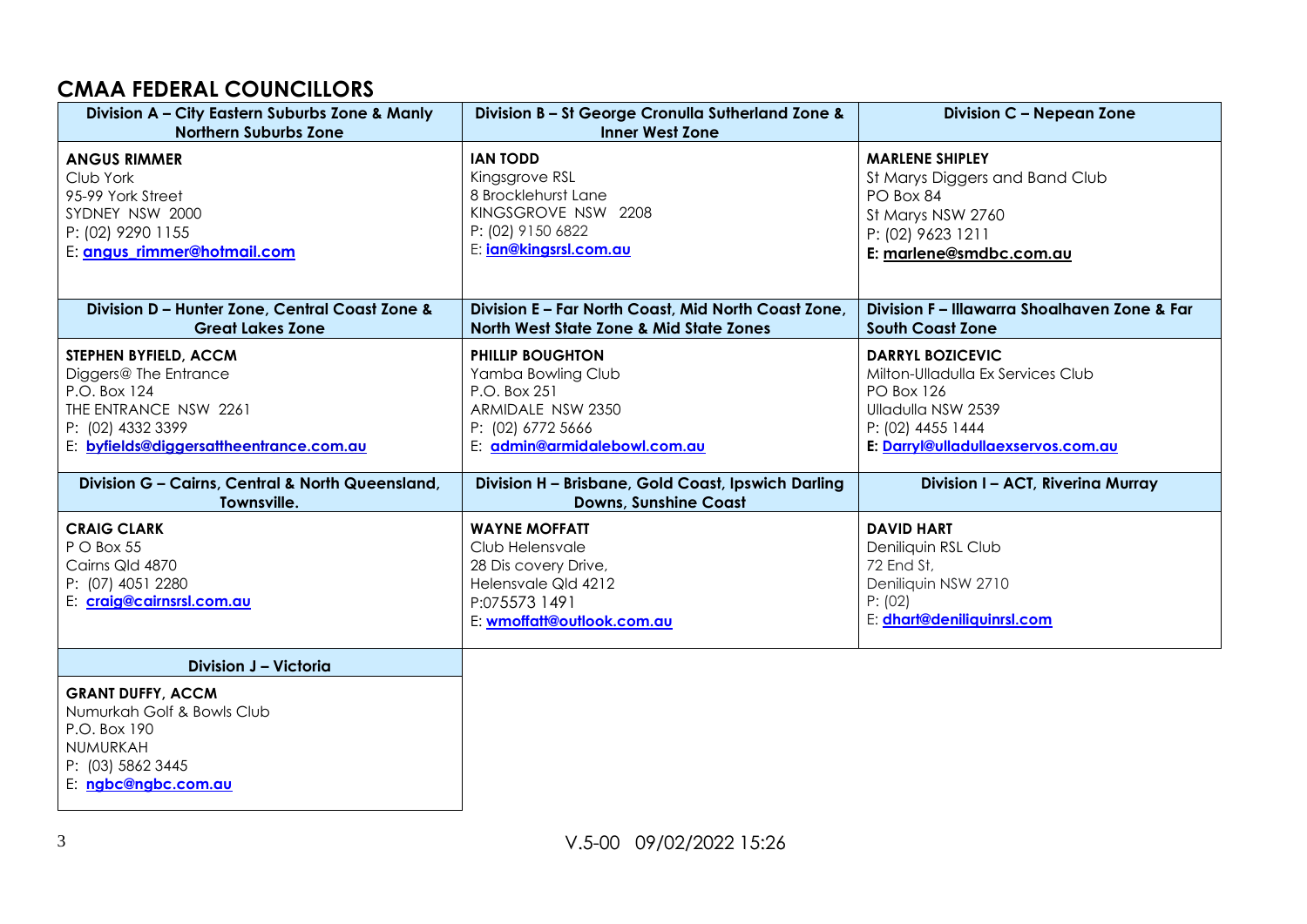#### **CMAA FEDERAL COUNCILLORS**

| Division A - City Eastern Suburbs Zone & Manly<br><b>Northern Suburbs Zone</b>                                                                          | Division B - St George Cronulla Sutherland Zone &<br><b>Inner West Zone</b>                                                             | <b>Division C - Nepean Zone</b>                                                                                                                                    |
|---------------------------------------------------------------------------------------------------------------------------------------------------------|-----------------------------------------------------------------------------------------------------------------------------------------|--------------------------------------------------------------------------------------------------------------------------------------------------------------------|
| <b>ANGUS RIMMER</b><br>Club York<br>95-99 York Street<br>SYDNEY NSW 2000<br>P: (02) 9290 1155<br>E: angus_rimmer@hotmail.com                            | <b>IAN TODD</b><br>Kingsgrove RSL<br>8 Brocklehurst Lane<br>KINGSGROVE NSW 2208<br>P: (02) 9150 6822<br>E: <i>ign@kingsrsl.com.au</i>   | <b>MARLENE SHIPLEY</b><br>St Marys Diggers and Band Club<br>PO Box 84<br>St Marys NSW 2760<br>P: (02) 9623 1211<br>E: marlene@smdbc.com.au                         |
| Division D - Hunter Zone, Central Coast Zone &<br><b>Great Lakes Zone</b>                                                                               | Division E - Far North Coast, Mid North Coast Zone,<br><b>North West State Zone &amp; Mid State Zones</b>                               | Division F – Illawarra Shoalhaven Zone & Far<br><b>South Coast Zone</b>                                                                                            |
| STEPHEN BYFIELD, ACCM<br>Diggers@ The Entrance<br>P.O. Box 124<br>THE ENTRANCE NSW 2261<br>P: (02) 4332 3399<br>E: byfields@diggersattheentrance.com.au | <b>PHILLIP BOUGHTON</b><br>Yamba Bowling Club<br>P.O. Box 251<br>ARMIDALE NSW 2350<br>P: (02) 6772 5666<br>E: admin@armidalebowl.com.au | <b>DARRYL BOZICEVIC</b><br>Milton-Ulladulla Ex Services Club<br><b>PO Box 126</b><br>Ulladulla NSW 2539<br>P: (02) 4455 1444<br>E: Darryl@ulladullaexservos.com.au |
| Division G - Cairns, Central & North Queensland,<br>Townsville.                                                                                         | Division H - Brisbane, Gold Coast, Ipswich Darling<br><b>Downs, Sunshine Coast</b>                                                      | Division I - ACT, Riverina Murray                                                                                                                                  |
| <b>CRAIG CLARK</b><br>P O Box 55<br>Cairns Qld 4870<br>P: (07) 4051 2280<br>E: craig@cairnsrsl.com.au                                                   | <b>WAYNE MOFFATT</b><br>Club Helensvale<br>28 Dis covery Drive,<br>Helensvale Qld 4212<br>P:075573 1491<br>E: wmoffatt@outlook.com.au   | <b>DAVID HART</b><br>Deniliquin RSL Club<br>72 End St,<br>Deniliquin NSW 2710<br>P: (02)<br>E: dhart@deniliquinrsl.com                                             |
| Division J - Victoria<br><b>GRANT DUFFY, ACCM</b><br>Numurkah Golf & Bowls Club<br>P.O. Box 190<br>NUMURKAH<br>P: (03) 5862 3445<br>E: ngbc@ngbc.com.au |                                                                                                                                         |                                                                                                                                                                    |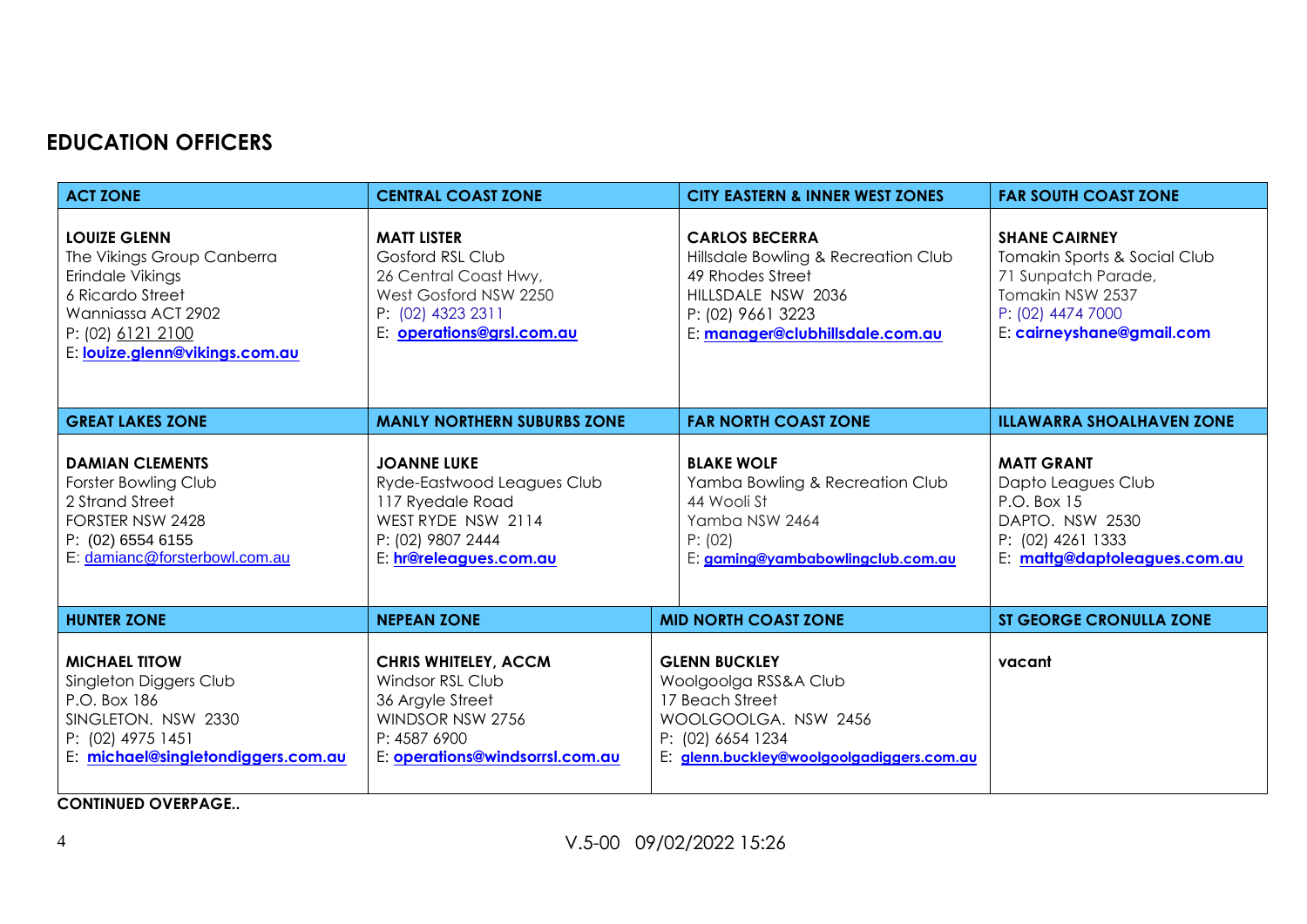# **EDUCATION OFFICERS**

| <b>ACT ZONE</b>                                                                                                                                                        | <b>CENTRAL COAST ZONE</b>                                                                                                                         | <b>CITY EASTERN &amp; INNER WEST ZONES</b>                                                                                                                     | <b>FAR SOUTH COAST ZONE</b>                                                                                                                       |
|------------------------------------------------------------------------------------------------------------------------------------------------------------------------|---------------------------------------------------------------------------------------------------------------------------------------------------|----------------------------------------------------------------------------------------------------------------------------------------------------------------|---------------------------------------------------------------------------------------------------------------------------------------------------|
| <b>LOUIZE GLENN</b><br>The Vikings Group Canberra<br>Erindale Vikings<br>6 Ricardo Street<br>Wanniassa ACT 2902<br>P: (02) 6121 2100<br>E: louize.glenn@vikings.com.au | <b>MATT LISTER</b><br><b>Gosford RSL Club</b><br>26 Central Coast Hwy,<br>West Gosford NSW 2250<br>P: (02) 4323 2311<br>E: operations@grsl.com.au | <b>CARLOS BECERRA</b><br>Hillsdale Bowling & Recreation Club<br>49 Rhodes Street<br>HILLSDALE NSW 2036<br>P: (02) 9661 3223<br>E: manager@clubhillsdale.com.au | <b>SHANE CAIRNEY</b><br>Tomakin Sports & Social Club<br>71 Sunpatch Parade,<br>Tomakin NSW 2537<br>P: (02) 4474 7000<br>E: cairneyshane@gmail.com |
| <b>GREAT LAKES ZONE</b>                                                                                                                                                | <b>MANLY NORTHERN SUBURBS ZONE</b>                                                                                                                | <b>FAR NORTH COAST ZONE</b>                                                                                                                                    | <b>ILLAWARRA SHOALHAVEN ZONE</b>                                                                                                                  |
| <b>DAMIAN CLEMENTS</b><br>Forster Bowling Club<br>2 Strand Street<br>FORSTER NSW 2428<br>P: (02) 6554 6155<br>E: damianc@forsterbowl.com.au                            | <b>JOANNE LUKE</b><br>Ryde-Eastwood Leagues Club<br>117 Ryedale Road<br>WEST RYDE NSW 2114<br>P: (02) 9807 2444<br>E: hr@releagues.com.au         | <b>BLAKE WOLF</b><br>Yamba Bowling & Recreation Club<br>44 Wooli St<br>Yamba NSW 2464<br>P: (02)<br>E: gaming@yambabowlingclub.com.au                          | <b>MATT GRANT</b><br>Dapto Leagues Club<br>P.O. Box 15<br>DAPTO. NSW 2530<br>P: (02) 4261 1333<br>E: mattg@daptoleagues.com.au                    |
| <b>HUNTER ZONE</b>                                                                                                                                                     | <b>NEPEAN ZONE</b>                                                                                                                                | <b>MID NORTH COAST ZONE</b>                                                                                                                                    | <b>ST GEORGE CRONULLA ZONE</b>                                                                                                                    |
| <b>MICHAEL TITOW</b><br>Singleton Diggers Club<br>P.O. Box 186<br>SINGLETON, NSW 2330<br>P: (02) 4975 1451<br>E: michael@singletondiggers.com.au                       | <b>CHRIS WHITELEY, ACCM</b><br>Windsor RSL Club<br>36 Argyle Street<br>WINDSOR NSW 2756<br>P: 4587 6900<br>E: operations@windsorrsl.com.au        | <b>GLENN BUCKLEY</b><br>Woolgoolga RSS&A Club<br>17 Beach Street<br>WOOLGOOLGA. NSW 2456<br>P: (02) 6654 1234<br>E: glenn.buckley@woolgoolgadiggers.com.au     | vacant                                                                                                                                            |

**CONTINUED OVERPAGE..**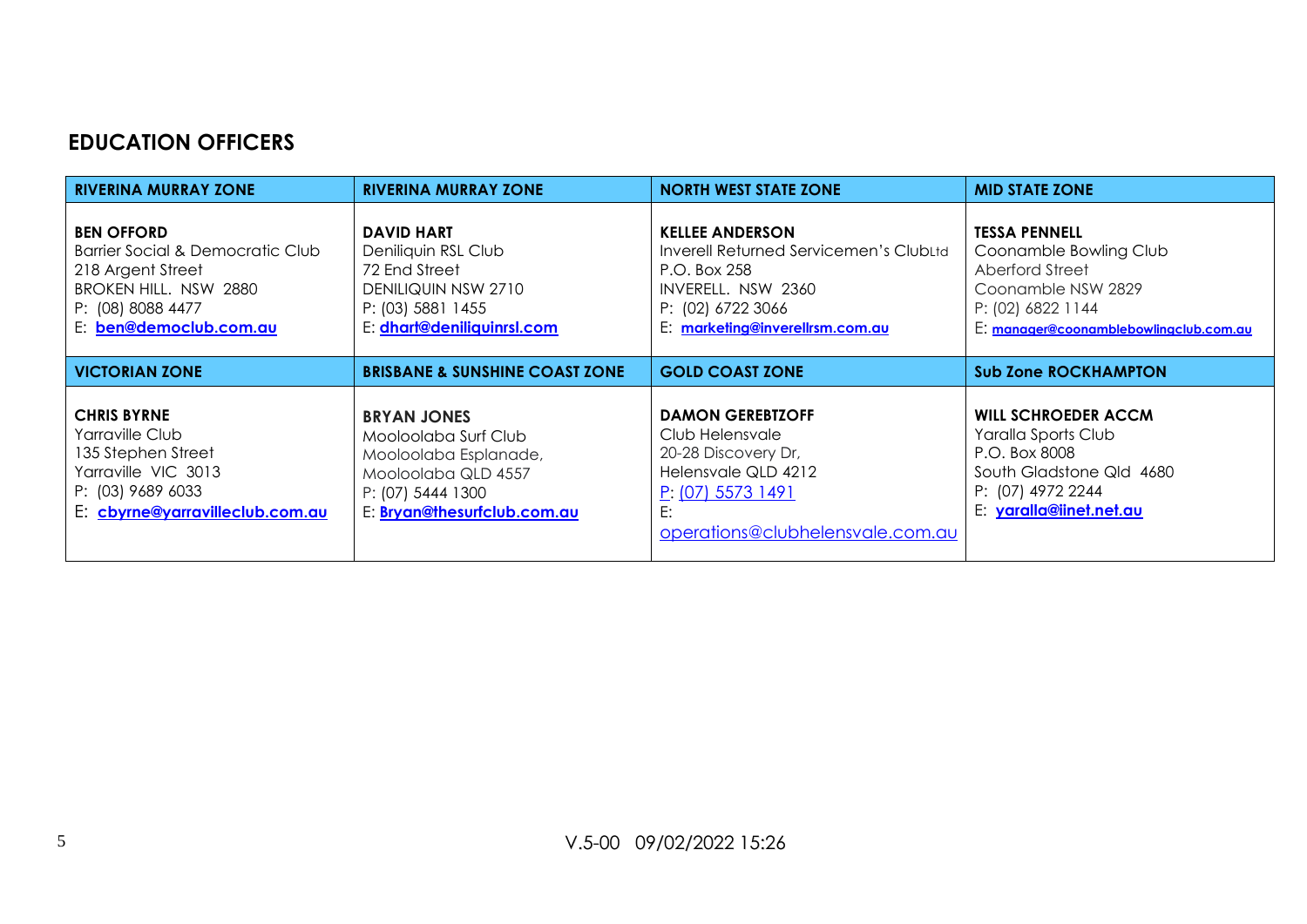#### **EDUCATION OFFICERS**

| <b>RIVERINA MURRAY ZONE</b>                                                                                                                        | <b>RIVERINA MURRAY ZONE</b>                                                                                                                    | <b>NORTH WEST STATE ZONE</b>                                                                                                                                   | <b>MID STATE ZONE</b>                                                                                                                                  |
|----------------------------------------------------------------------------------------------------------------------------------------------------|------------------------------------------------------------------------------------------------------------------------------------------------|----------------------------------------------------------------------------------------------------------------------------------------------------------------|--------------------------------------------------------------------------------------------------------------------------------------------------------|
| <b>BEN OFFORD</b><br>Barrier Social & Democratic Club<br>218 Argent Street<br>BROKEN HILL. NSW 2880<br>P: (08) 8088 4477<br>E: ben@democlub.com.au | <b>DAVID HART</b><br>Deniliquin RSL Club<br>72 End Street<br>DENILIQUIN NSW 2710<br>P: (03) 5881 1455<br>E: dhart@deniliquinrsl.com            | <b>KELLEE ANDERSON</b><br>Inverell Returned Servicemen's ClubLtd<br>P.O. Box 258<br>INVERELL, NSW 2360<br>P: (02) 6722 3066<br>E: marketing@inverellrsm.com.au | <b>TESSA PENNELL</b><br>Coonamble Bowling Club<br>Aberford Street<br>Coonamble NSW 2829<br>P: (02) 6822 1144<br>E: manager@coonamblebowlingclub.com.au |
| <b>VICTORIAN ZONE</b>                                                                                                                              | <b>BRISBANE &amp; SUNSHINE COAST ZONE</b>                                                                                                      | <b>GOLD COAST ZONE</b>                                                                                                                                         | <b>Sub Zone ROCKHAMPTON</b>                                                                                                                            |
| <b>CHRIS BYRNE</b><br>Yarraville Club<br>135 Stephen Street<br>Yarraville VIC 3013<br>P: (03) 9689 6033<br>E: cbyrne@yarravilleclub.com.au         | <b>BRYAN JONES</b><br>Mooloolaba Surf Club<br>Mooloolaba Esplanade,<br>Mooloolaba QLD 4557<br>P: (07) 5444 1300<br>E: Bryan@thesurfclub.com.au | <b>DAMON GEREBIZOFF</b><br>Club Helensvale<br>20-28 Discovery Dr,<br>Helensvale QLD 4212<br>P: (07) 5573 1491<br>E:<br>operations@clubhelensvale.com.au        | <b>WILL SCHROEDER ACCM</b><br>Yaralla Sports Club<br>P.O. Box 8008<br>South Gladstone Qld 4680<br>P: (07) 4972 2244<br>E: yaralla@iinet.net.au         |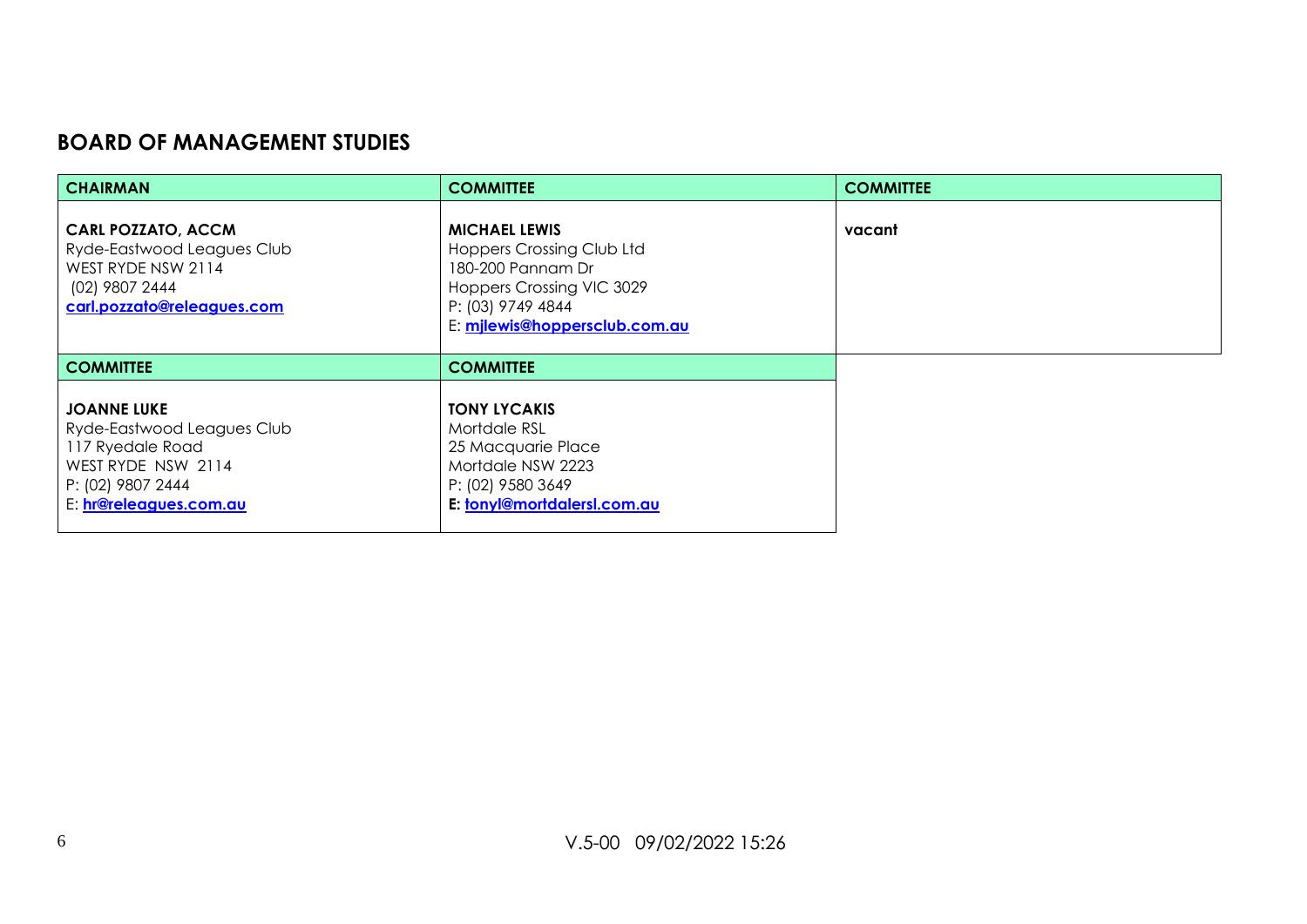#### **BOARD OF MANAGEMENT STUDIES**

| <b>CHAIRMAN</b>                                                                                                                           | <b>COMMITTEE</b>                                                                                                                                                 | <b>COMMITTEE</b> |
|-------------------------------------------------------------------------------------------------------------------------------------------|------------------------------------------------------------------------------------------------------------------------------------------------------------------|------------------|
| <b>CARL POZZATO, ACCM</b><br>Ryde-Eastwood Leagues Club<br>WEST RYDE NSW 2114<br>(02) 9807 2444<br>carl.pozzato@releagues.com             | <b>MICHAEL LEWIS</b><br><b>Hoppers Crossing Club Ltd</b><br>180-200 Pannam Dr<br>Hoppers Crossing VIC 3029<br>P: (03) 9749 4844<br>E: milewis@hoppersclub.com.au | vacant           |
| <b>COMMITTEE</b>                                                                                                                          | <b>COMMITTEE</b>                                                                                                                                                 |                  |
| <b>JOANNE LUKE</b><br>Ryde-Eastwood Leagues Club<br>117 Ryedale Road<br>WEST RYDE NSW 2114<br>P: (02) 9807 2444<br>E: hr@releagues.com.au | <b>TONY LYCAKIS</b><br>Mortdale RSL<br>25 Macquarie Place<br>Mortdale NSW 2223<br>P: (02) 9580 3649<br>E: tonyl@mortdalersl.com.au                               |                  |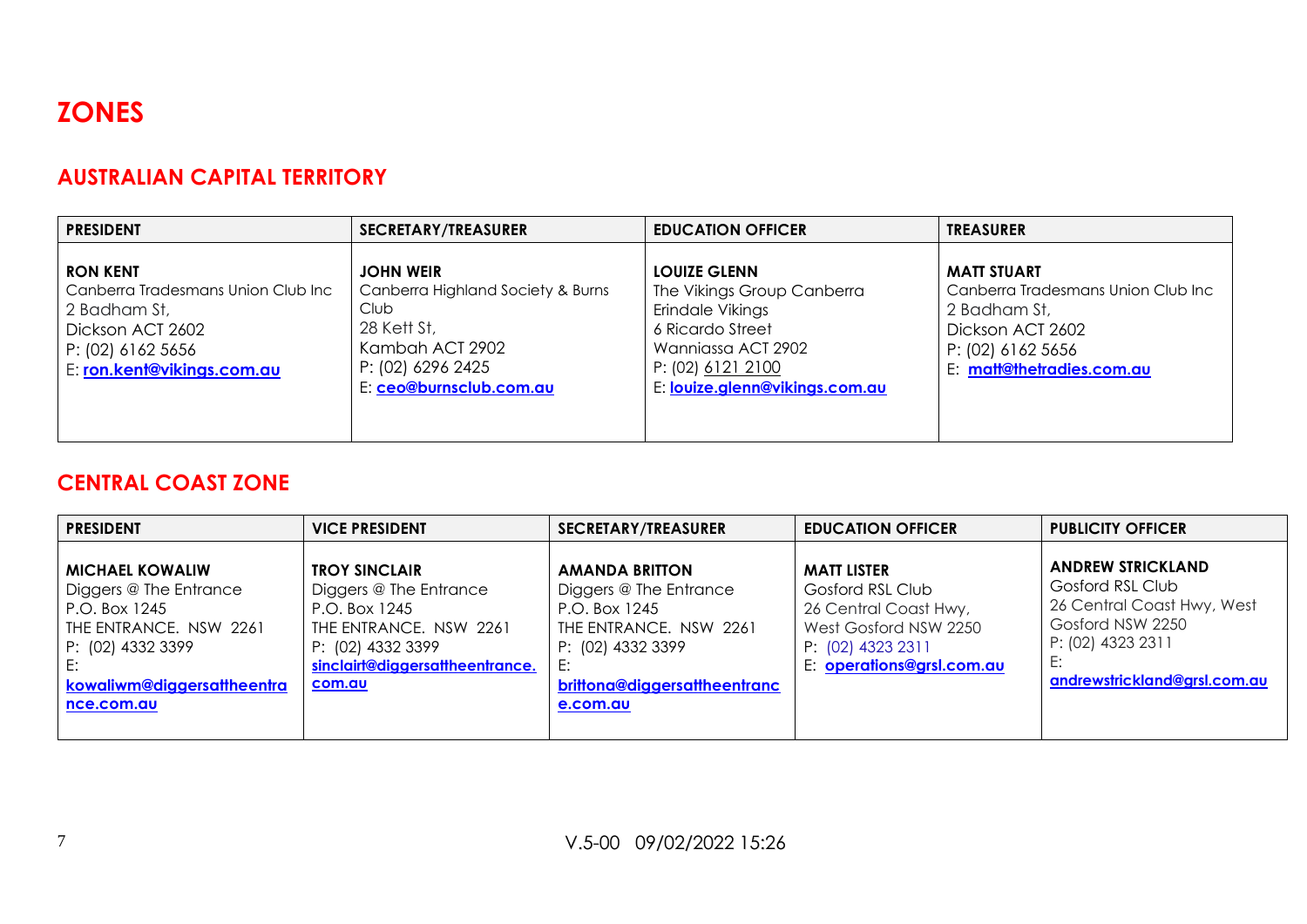

#### **AUSTRALIAN CAPITAL TERRITORY**

| <b>PRESIDENT</b>                                                                                                                               | <b>SECRETARY/TREASURER</b>                                                                                                                      | <b>EDUCATION OFFICER</b>                                                                                                                                               | <b>TREASURER</b>                                                                                                                               |
|------------------------------------------------------------------------------------------------------------------------------------------------|-------------------------------------------------------------------------------------------------------------------------------------------------|------------------------------------------------------------------------------------------------------------------------------------------------------------------------|------------------------------------------------------------------------------------------------------------------------------------------------|
| <b>RON KENT</b><br>Canberra Tradesmans Union Club Inc<br>2 Badham St,<br>Dickson ACT 2602<br>$P: (02)$ 6162 5656<br>E: ron.kent@vikings.com.au | <b>JOHN WEIR</b><br>Canberra Highland Society & Burns<br>Club<br>28 Kett St,<br>Kambah ACT 2902<br>P: (02) 6296 2425<br>E: ceo@burnsclub.com.au | <b>LOUIZE GLENN</b><br>The Vikings Group Canberra<br>Erindale Vikings<br>6 Ricardo Street<br>Wanniassa ACT 2902<br>P: (02) 6121 2100<br>E: louize.glenn@vikings.com.au | <b>MATT STUART</b><br>Canberra Tradesmans Union Club Inc<br>2 Badham St,<br>Dickson ACT 2602<br>P: (02) 6162 5656<br>E: matt@thetradies.com.au |

#### **CENTRAL COAST ZONE**

| I PRESIDENT                                                                                                                                                          | <b>VICE PRESIDENT</b>                                                                                                                                       | <b>SECRETARY/TREASURER</b>                                                                                                                                        | <b>EDUCATION OFFICER</b>                                                                                                                   | <b>PUBLICITY OFFICER</b>                                                                                                                            |
|----------------------------------------------------------------------------------------------------------------------------------------------------------------------|-------------------------------------------------------------------------------------------------------------------------------------------------------------|-------------------------------------------------------------------------------------------------------------------------------------------------------------------|--------------------------------------------------------------------------------------------------------------------------------------------|-----------------------------------------------------------------------------------------------------------------------------------------------------|
| <b>MICHAEL KOWALIW</b><br>Diggers @ The Entrance<br>P.O. Box 1245<br>THE ENTRANCE. NSW 2261<br>P: (02) 4332 3399<br>l F:<br>kowaliwm@diggersattheentra<br>nce.com.au | <b>TROY SINCLAIR</b><br>Diggers @ The Entrance<br>P.O. Box 1245<br>THE ENTRANCE. NSW 2261<br>P: (02) 4332 3399<br>sinclairt@diggersattheentrance.<br>com.au | <b>AMANDA BRITTON</b><br>Diggers @ The Entrance<br>P.O. Box 1245<br>THE ENTRANCE. NSW 2261<br>P: (02) 4332 3399<br>E:<br>brittona@diggersattheentranc<br>e.com.au | <b>MATT LISTER</b><br>Gosford RSL Club<br>26 Central Coast Hwy,<br>West Gosford NSW 2250<br>P: (02) 4323 2311<br>E: operations@grsl.com.au | <b>ANDREW STRICKLAND</b><br>Gosford RSL Club<br>26 Central Coast Hwy, West<br>Gosford NSW 2250<br>P: (02) 4323 2311<br>andrewstrickland@grsl.com.au |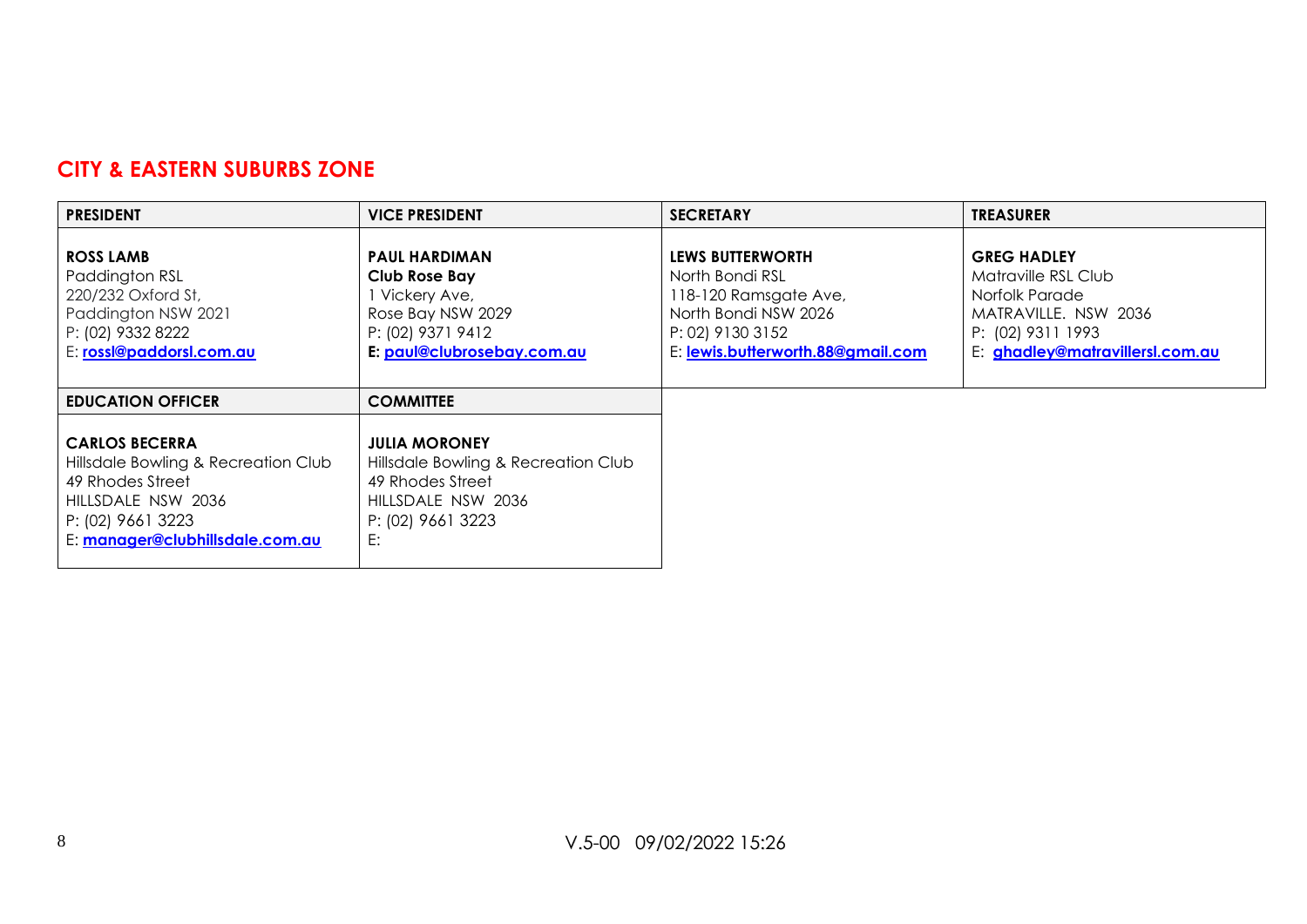# **CITY & EASTERN SUBURBS ZONE**

| <b>PRESIDENT</b>                                                                                                                                               | <b>VICE PRESIDENT</b>                                                                                                            | <b>SECRETARY</b>                                                                                                                                     | <b>TREASURER</b>                                                                                                                            |
|----------------------------------------------------------------------------------------------------------------------------------------------------------------|----------------------------------------------------------------------------------------------------------------------------------|------------------------------------------------------------------------------------------------------------------------------------------------------|---------------------------------------------------------------------------------------------------------------------------------------------|
| <b>ROSS LAMB</b><br>Paddington RSL<br>220/232 Oxford St,<br>Paddington NSW 2021<br>P: (02) 9332 8222<br>E: rossl@paddorsl.com.au                               | <b>PAUL HARDIMAN</b><br>Club Rose Bay<br>l Vickery Ave,<br>Rose Bay NSW 2029<br>P: (02) 9371 9412<br>E: paul@clubrosebay.com.au  | <b>LEWS BUTTERWORTH</b><br>North Bondi RSL<br>118-120 Ramsgate Ave,<br>North Bondi NSW 2026<br>P: 02) 9130 3152<br>E: lewis.butterworth.88@gmail.com | <b>GREG HADLEY</b><br>Matraville RSL Club<br>Norfolk Parade<br>MATRAVILLE, NSW 2036<br>P: (02) 9311 1993<br>E: ghadley@matravillersl.com.au |
| <b>EDUCATION OFFICER</b>                                                                                                                                       | <b>COMMITTEE</b>                                                                                                                 |                                                                                                                                                      |                                                                                                                                             |
| <b>CARLOS BECERRA</b><br>Hillsdale Bowling & Recreation Club<br>49 Rhodes Street<br>HILLSDALE NSW 2036<br>P: (02) 9661 3223<br>E: manager@clubhillsdale.com.au | <b>JULIA MORONEY</b><br>Hillsdale Bowling & Recreation Club<br>49 Rhodes Street<br>HILLSDALE NSW 2036<br>P: (02) 9661 3223<br>E: |                                                                                                                                                      |                                                                                                                                             |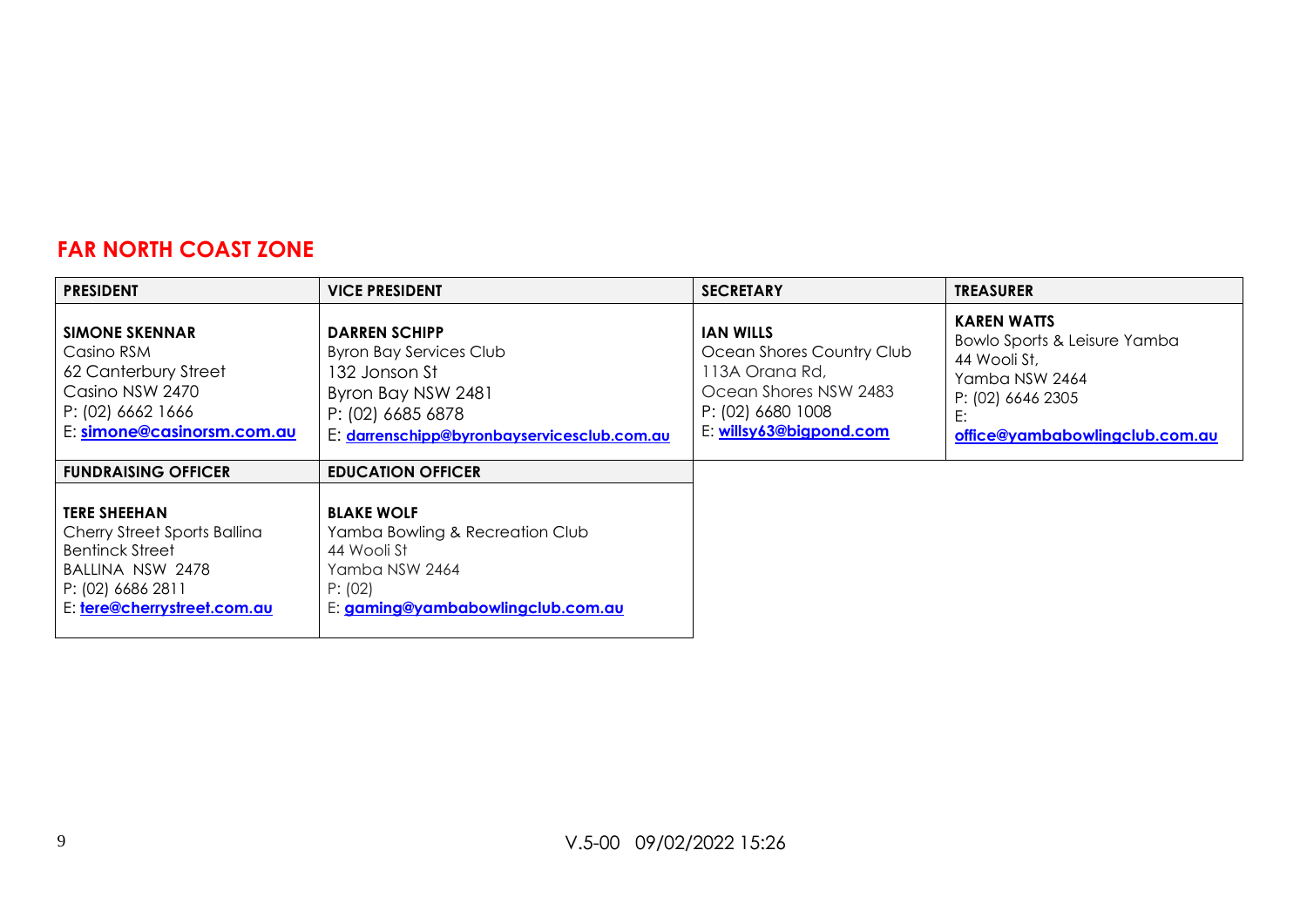# **FAR NORTH COAST ZONE**

| <b>PRESIDENT</b>                                                                                                                                      | <b>VICE PRESIDENT</b>                                                                                                                                             | <b>SECRETARY</b>                                                                                                                         | <b>TREASURER</b>                                                                                                                                  |
|-------------------------------------------------------------------------------------------------------------------------------------------------------|-------------------------------------------------------------------------------------------------------------------------------------------------------------------|------------------------------------------------------------------------------------------------------------------------------------------|---------------------------------------------------------------------------------------------------------------------------------------------------|
| <b>SIMONE SKENNAR</b><br>Casino RSM<br>62 Canterbury Street<br>Casino NSW 2470<br>P: (02) 6662 1666<br>E: simone@casinorsm.com.au                     | <b>DARREN SCHIPP</b><br><b>Byron Bay Services Club</b><br>132 Jonson St<br>Byron Bay NSW 2481<br>P: (02) 6685 6878<br>E: darrenschipp@byronbayservicesclub.com.au | <b>JAN WILLS</b><br>Ocean Shores Country Club<br>113A Orana Rd,<br>Ocean Shores NSW 2483<br>P: (02) 6680 1008<br>E: willsy63@bigpond.com | <b>KAREN WATTS</b><br>Bowlo Sports & Leisure Yamba<br>44 Wooli St,<br>Yamba NSW 2464<br>P: (02) 6646 2305<br>E:<br>office@yambabowlingclub.com.au |
| <b>FUNDRAISING OFFICER</b>                                                                                                                            | <b>EDUCATION OFFICER</b>                                                                                                                                          |                                                                                                                                          |                                                                                                                                                   |
| <b>TERE SHEEHAN</b><br>Cherry Street Sports Ballina<br><b>Bentinck Street</b><br>BALLINA NSW 2478<br>P: (02) 6686 2811<br>E: tere@cherrystreet.com.au | <b>BLAKE WOLF</b><br>Yamba Bowling & Recreation Club<br>44 Wooli St<br>Yamba NSW 2464<br>P: (02)<br>E: gaming@yambabowlingclub.com.au                             |                                                                                                                                          |                                                                                                                                                   |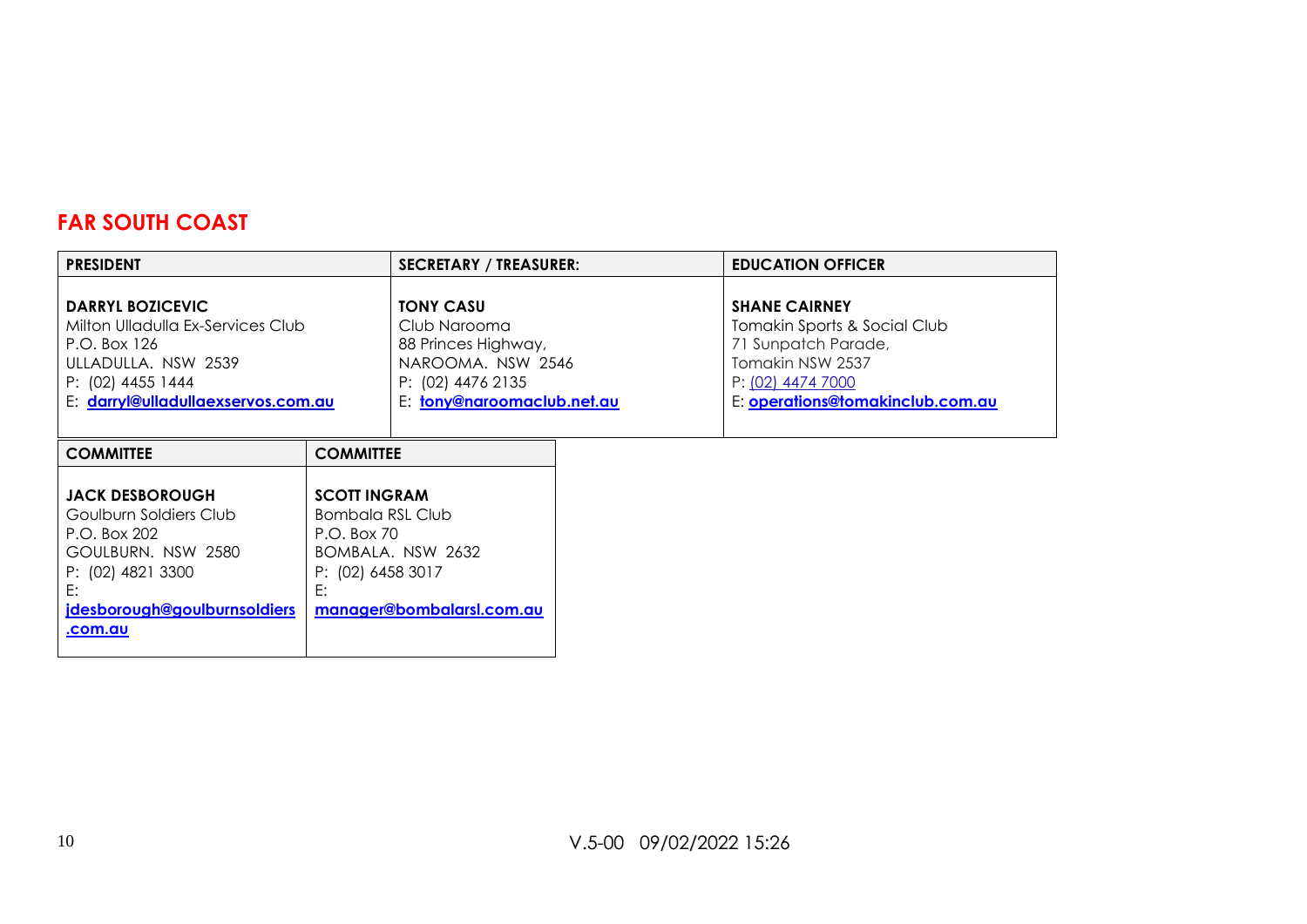# **FAR SOUTH COAST**

| <b>PRESIDENT</b>                                                                                                                                                    |                                                                                   | <b>SECRETARY / TREASURER:</b>                                                                                                   | <b>EDUCATION OFFICER</b>                                                                                                                                 |
|---------------------------------------------------------------------------------------------------------------------------------------------------------------------|-----------------------------------------------------------------------------------|---------------------------------------------------------------------------------------------------------------------------------|----------------------------------------------------------------------------------------------------------------------------------------------------------|
| <b>DARRYL BOZICEVIC</b><br>Milton Ulladulla Ex-Services Club<br>P.O. Box 126<br>ULLADULLA. NSW 2539<br>P: (02) 4455 1444<br>E: darryl@ulladullaexservos.com.au      |                                                                                   | <b>TONY CASU</b><br>Club Narooma<br>88 Princes Highway,<br>NAROOMA. NSW 2546<br>P: (02) 4476 2135<br>E: tony@naroomaclub.net.au | <b>SHANE CAIRNEY</b><br>Tomakin Sports & Social Club<br>71 Sunpatch Parade,<br>Tomakin NSW 2537<br>P: (02) 4474 7000<br>E: operations@tomakinclub.com.au |
| <b>COMMITTEE</b>                                                                                                                                                    | <b>COMMITTEE</b>                                                                  |                                                                                                                                 |                                                                                                                                                          |
| <b>JACK DESBOROUGH</b><br>Goulburn Soldiers Club<br>P.O. Box 202<br>GOULBURN. NSW 2580<br>P: (02) 4821 3300<br>E:<br>jdesborough@goulburnsoldiers<br><u>.com.au</u> | <b>SCOTT INGRAM</b><br>Bombala RSL Club<br>P.O. Box 70<br>P: (02) 6458 3017<br>E: | BOMBALA, NSW 2632<br>manager@bombalarsl.com.au                                                                                  |                                                                                                                                                          |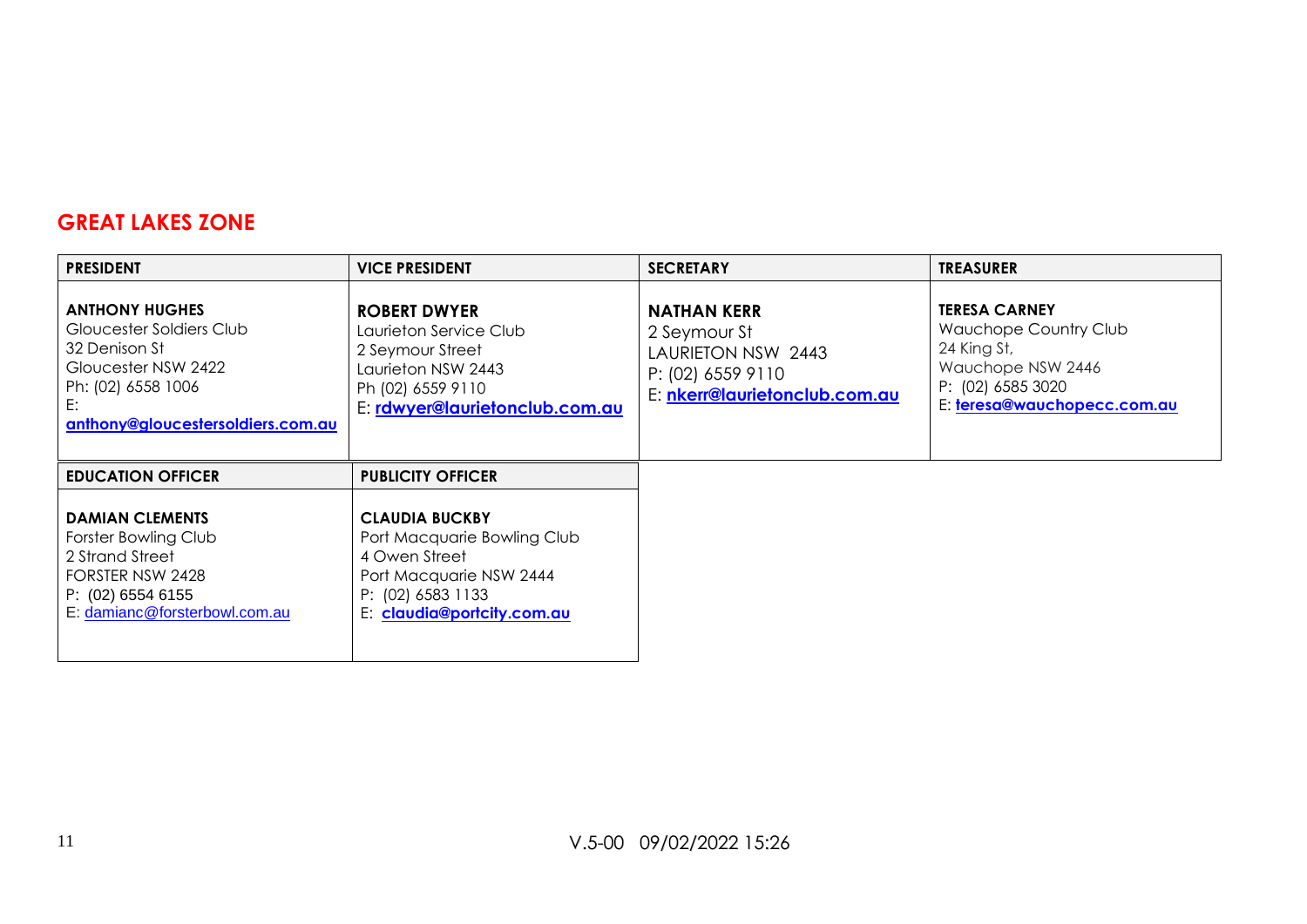#### **GREAT LAKES ZONE**

| <b>PRESIDENT</b>                                                                                                                                           | <b>VICE PRESIDENT</b>                                                                                                                               | <b>SECRETARY</b>                                                                                               | <b>TREASURER</b>                                                                                                                      |
|------------------------------------------------------------------------------------------------------------------------------------------------------------|-----------------------------------------------------------------------------------------------------------------------------------------------------|----------------------------------------------------------------------------------------------------------------|---------------------------------------------------------------------------------------------------------------------------------------|
| <b>ANTHONY HUGHES</b><br>Gloucester Soldiers Club<br>32 Denison St<br>Gloucester NSW 2422<br>Ph: (02) 6558 1006<br>E:<br>anthony@gloucestersoldiers.com.au | <b>ROBERT DWYER</b><br>Laurieton Service Club<br>2 Seymour Street<br>Laurieton NSW 2443<br>Ph (02) 6559 9110<br>E: rdwyer@laurietonclub.com.au      | <b>NATHAN KERR</b><br>2 Seymour St<br>LAURIETON NSW 2443<br>P: (02) 6559 9110<br>E: nkerr@laurietonclub.com.au | <b>TERESA CARNEY</b><br>Wauchope Country Club<br>24 King St,<br>Wauchope NSW 2446<br>P: (02) 6585 3020<br>E: teresa@wauchopecc.com.au |
| <b>EDUCATION OFFICER</b>                                                                                                                                   | <b>PUBLICITY OFFICER</b>                                                                                                                            |                                                                                                                |                                                                                                                                       |
| <b>DAMIAN CLEMENTS</b><br>Forster Bowling Club<br>2 Strand Street<br>FORSTER NSW 2428<br>P: (02) 6554 6155<br>E: damianc@forsterbowl.com.au                | <b>CLAUDIA BUCKBY</b><br>Port Macquarie Bowling Club<br>4 Owen Street<br>Port Macquarie NSW 2444<br>P: (02) 6583 1133<br>E: claudia@portcity.com.au |                                                                                                                |                                                                                                                                       |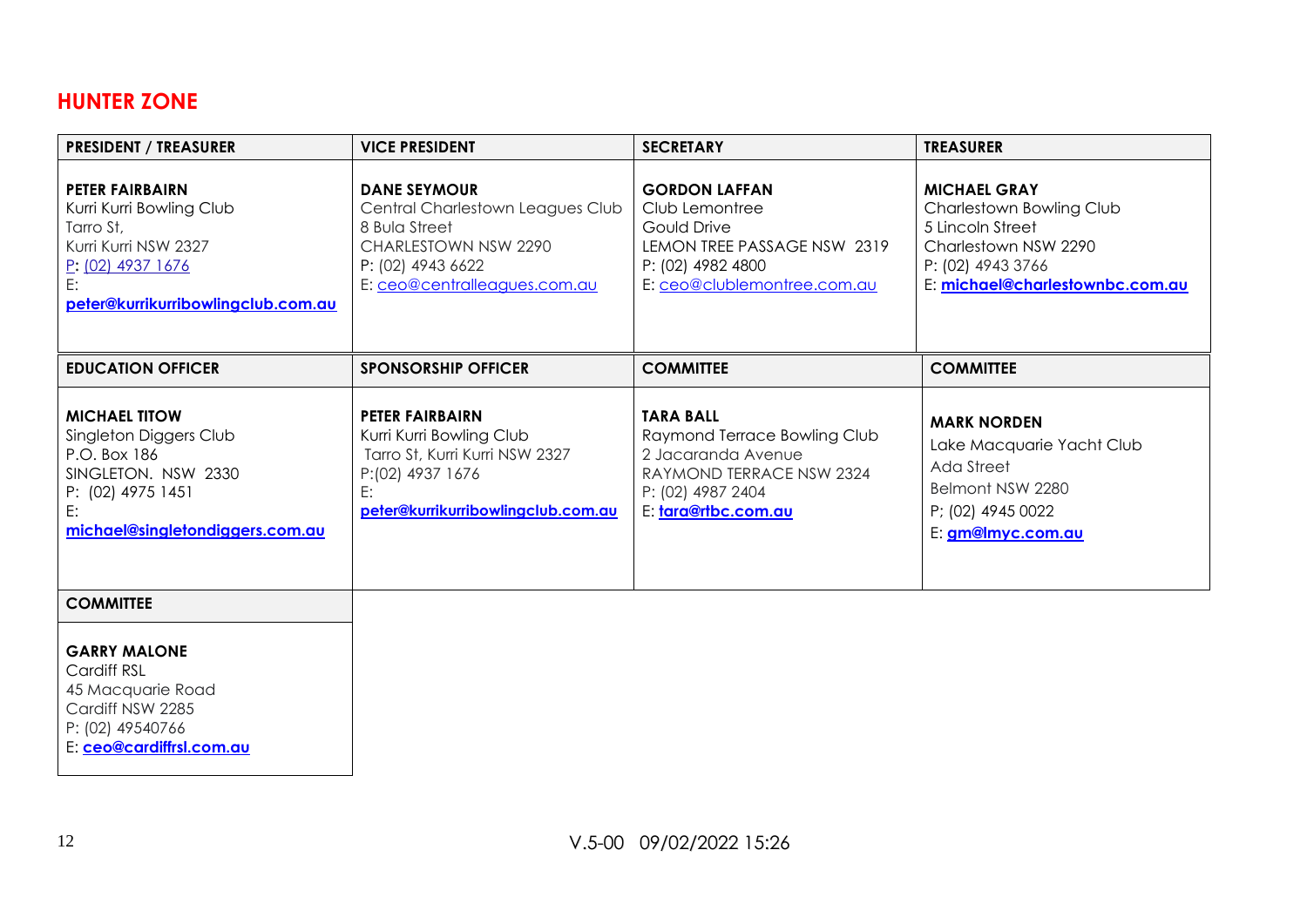#### **HUNTER ZONE**

| <b>PRESIDENT / TREASURER</b>                                                                                                                                    | <b>VICE PRESIDENT</b>                                                                                                                                 | <b>SECRETARY</b>                                                                                                                               | <b>TREASURER</b>                                                                                                                                    |
|-----------------------------------------------------------------------------------------------------------------------------------------------------------------|-------------------------------------------------------------------------------------------------------------------------------------------------------|------------------------------------------------------------------------------------------------------------------------------------------------|-----------------------------------------------------------------------------------------------------------------------------------------------------|
| <b>PETER FAIRBAIRN</b><br>Kurri Kurri Bowling Club<br>Tarro St,<br>Kurri Kurri NSW 2327<br><u>P: (02) 4937 1676</u><br>E:<br>peter@kurrikurribowlingclub.com.au | <b>DANE SEYMOUR</b><br>Central Charlestown Leagues Club<br>8 Bula Street<br>CHARLESTOWN NSW 2290<br>P: (02) 4943 6622<br>E: ceo@centralleagues.com.au | <b>GORDON LAFFAN</b><br>Club Lemontree<br>Gould Drive<br>LEMON TREE PASSAGE NSW 2319<br>P: (02) 4982 4800<br>E: ceo@clublemontree.com.au       | <b>MICHAEL GRAY</b><br>Charlestown Bowling Club<br>5 Lincoln Street<br>Charlestown NSW 2290<br>P: (02) 4943 3766<br>E: michael@charlestownbc.com.au |
| <b>EDUCATION OFFICER</b>                                                                                                                                        | <b>SPONSORSHIP OFFICER</b>                                                                                                                            | <b>COMMITTEE</b>                                                                                                                               | <b>COMMITTEE</b>                                                                                                                                    |
| <b>MICHAEL TITOW</b><br>Singleton Diggers Club<br>P.O. Box 186<br>SINGLETON, NSW 2330<br>P: (02) 4975 1451<br>E:<br>michael@singletondiggers.com.au             | <b>PETER FAIRBAIRN</b><br>Kurri Kurri Bowling Club<br>Tarro St, Kurri Kurri NSW 2327<br>P:(02) 4937 1676<br>E:<br>peter@kurrikurribowlingclub.com.au  | <b>TARA BALL</b><br>Raymond Terrace Bowling Club<br>2 Jacaranda Avenue<br>RAYMOND TERRACE NSW 2324<br>P: (02) 4987 2404<br>E: tara@rtbc.com.au | <b>MARK NORDEN</b><br>Lake Macquarie Yacht Club<br>Ada Street<br>Belmont NSW 2280<br>P; (02) 4945 0022<br>E: <b>gm@lmyc.com.au</b>                  |
| <b>COMMITTEE</b>                                                                                                                                                |                                                                                                                                                       |                                                                                                                                                |                                                                                                                                                     |
| <b>GARRY MALONE</b>                                                                                                                                             |                                                                                                                                                       |                                                                                                                                                |                                                                                                                                                     |

Cardiff RSL 45 Macquarie Road Cardiff NSW 2285 P: (02) 49540766

E: **[ceo@cardiffrsl.com.au](mailto:ceo@cardiffrsl.com.au)**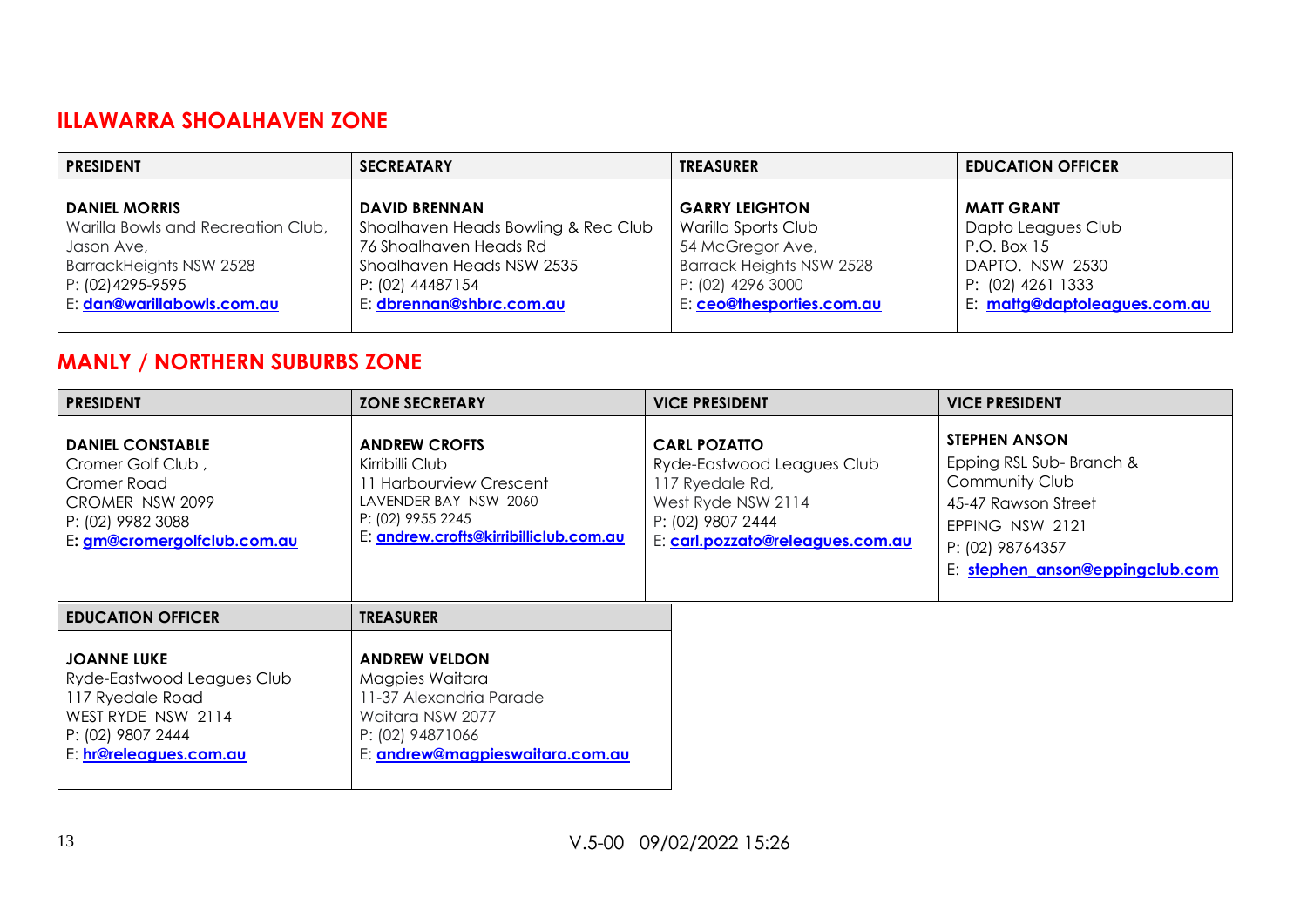## **ILLAWARRA SHOALHAVEN ZONE**

| <b>PRESIDENT</b>                                 | <b>SECREATARY</b>                                             | <b>TREASURER</b>                               | <b>EDUCATION OFFICER</b>                          |
|--------------------------------------------------|---------------------------------------------------------------|------------------------------------------------|---------------------------------------------------|
| <b>DANIEL MORRIS</b>                             | <b>DAVID BRENNAN</b>                                          | <b>GARRY LEIGHTON</b>                          | <b>MATT GRANT</b>                                 |
| Warilla Bowls and Recreation Club,<br>Jason Ave, | Shoalhaven Heads Bowling & Rec Club<br>76 Shoalhaven Heads Rd | Warilla Sports Club<br>54 McGregor Ave,        | Dapto Leagues Club<br>P.O. Box 15                 |
| BarrackHeights NSW 2528                          | Shoalhaven Heads NSW 2535                                     | Barrack Heights NSW 2528                       | DAPTO. NSW 2530                                   |
| P: (02)4295-9595<br>E: dan@warillabowls.com.au   | P: (02) 44487154<br>E: dbrennan@shbrc.com.au                  | P: (02) 4296 3000<br>E: ceo@thesporties.com.au | P: (02) 4261 1333<br>E: mattg@daptoleagues.com.au |

# **MANLY / NORTHERN SUBURBS ZONE**

| <b>PRESIDENT</b>                                                                                                                          | <b>ZONE SECRETARY</b>                                                                                                                                      | <b>VICE PRESIDENT</b>                                                                                                                               | <b>VICE PRESIDENT</b>                                                                                                                                              |
|-------------------------------------------------------------------------------------------------------------------------------------------|------------------------------------------------------------------------------------------------------------------------------------------------------------|-----------------------------------------------------------------------------------------------------------------------------------------------------|--------------------------------------------------------------------------------------------------------------------------------------------------------------------|
| <b>DANIEL CONSTABLE</b><br>Cromer Golf Club,<br>Cromer Road<br>CROMER NSW 2099<br>P: (02) 9982 3088<br>E: gm@cromergolfclub.com.au        | <b>ANDREW CROFTS</b><br>Kirribilli Club<br>11 Harbourview Crescent<br>LAVENDER BAY NSW 2060<br>P: (02) 9955 2245<br>E: andrew.crofts@kirribilliclub.com.au | <b>CARL POZATTO</b><br>Ryde-Eastwood Leagues Club<br>117 Ryedale Rd,<br>West Ryde NSW 2114<br>P: (02) 9807 2444<br>E: carl.pozzato@releagues.com.au | <b>STEPHEN ANSON</b><br>Epping RSL Sub-Branch &<br>Community Club<br>45-47 Rawson Street<br>EPPING NSW 2121<br>P: (02) 98764357<br>E: stephen anson@eppingclub.com |
| <b>EDUCATION OFFICER</b>                                                                                                                  | <b>TREASURER</b>                                                                                                                                           |                                                                                                                                                     |                                                                                                                                                                    |
| <b>JOANNE LUKE</b><br>Ryde-Eastwood Leagues Club<br>117 Ryedale Road<br>WEST RYDE NSW 2114<br>P: (02) 9807 2444<br>E: hr@releagues.com.au | <b>ANDREW VELDON</b><br>Magpies Waitara<br>11-37 Alexandria Parade<br>Waitara NSW 2077<br>P: (02) 94871066<br>E: andrew@magpieswaitara.com.au              |                                                                                                                                                     |                                                                                                                                                                    |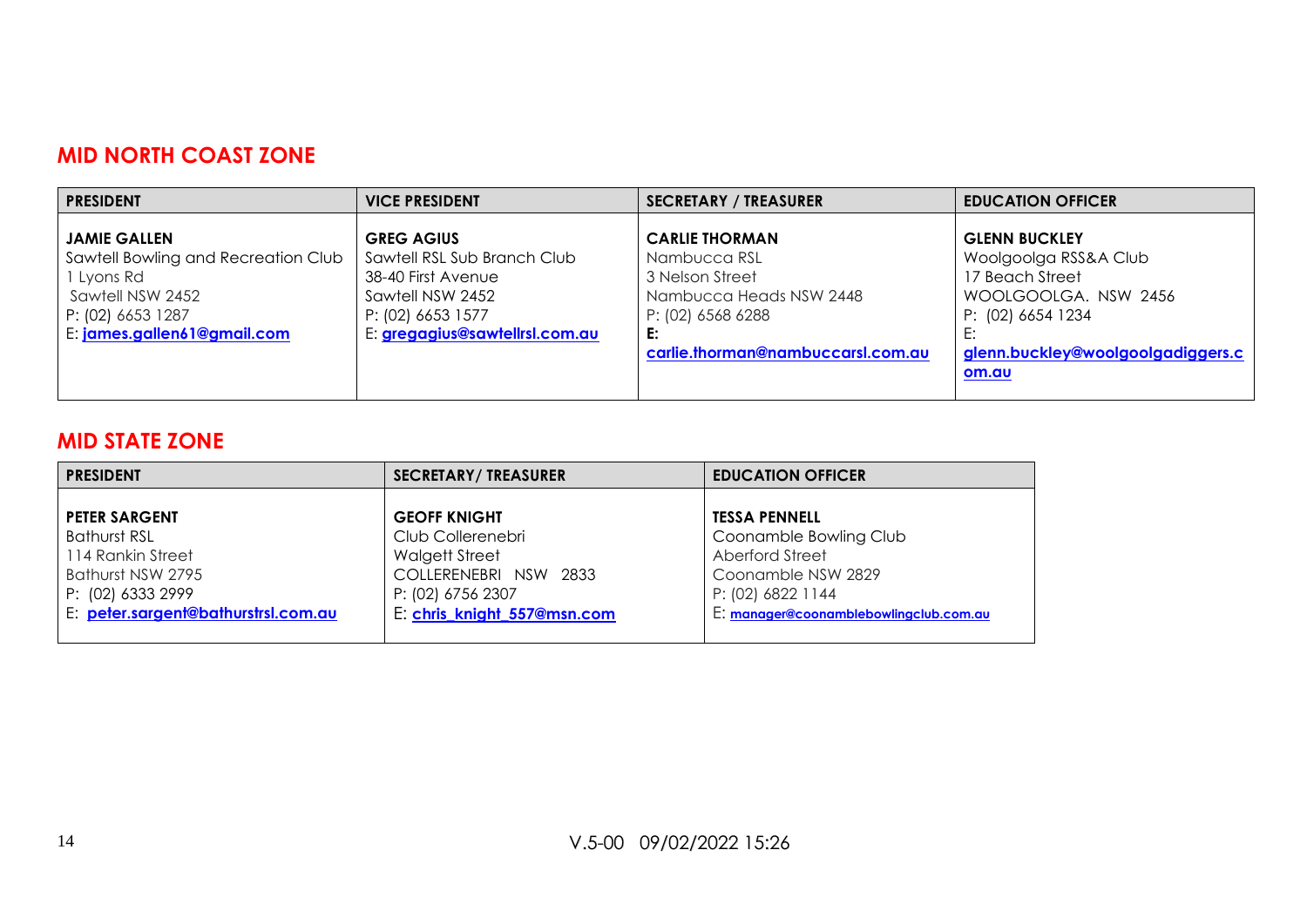#### **MID NORTH COAST ZONE**

| <b>PRESIDENT</b>                                                                                                                                 | <b>VICE PRESIDENT</b>                                                                                                                             | <b>SECRETARY / TREASURER</b>                                                                                                                        | <b>EDUCATION OFFICER</b>                                                                                                                                    |
|--------------------------------------------------------------------------------------------------------------------------------------------------|---------------------------------------------------------------------------------------------------------------------------------------------------|-----------------------------------------------------------------------------------------------------------------------------------------------------|-------------------------------------------------------------------------------------------------------------------------------------------------------------|
| <b>JAMIE GALLEN</b><br>Sawtell Bowling and Recreation Club<br>1 Lyons Rd<br>Sawtell NSW 2452<br>P: (02) 6653 1287<br>E: james.gallen61@gmail.com | <b>GREG AGIUS</b><br>Sawtell RSL Sub Branch Club<br>38-40 First Avenue<br>Sawtell NSW 2452<br>P: (02) 6653 1577<br>E: gregagius@sawtellrsl.com.au | <b>CARLIE THORMAN</b><br>Nambucca RSL<br>3 Nelson Street<br>Nambucca Heads NSW 2448<br>P: (02) 6568 6288<br>E:<br>carlie.thorman@nambuccarsl.com.au | <b>GLENN BUCKLEY</b><br>Woolgoolga RSS&A Club<br>17 Beach Street<br>WOOLGOOLGA, NSW 2456<br>P: (02) 6654 1234<br>glenn.buckley@woolgoolgadiggers.c<br>om.au |

#### **MID STATE ZONE**

| <b>PRESIDENT</b>                                                            | <b>SECRETARY/ TREASURER</b>                                                              | <b>EDUCATION OFFICER</b>                                                             |
|-----------------------------------------------------------------------------|------------------------------------------------------------------------------------------|--------------------------------------------------------------------------------------|
| <b>PETER SARGENT</b>                                                        | <b>GEOFF KNIGHT</b>                                                                      | <b>TESSA PENNELL</b>                                                                 |
| Bathurst RSL<br>114 Rankin Street<br>Bathurst NSW 2795<br>P: (02) 6333 2999 | Club Collerenebri<br><b>Walgett Street</b><br>COLLERENEBRI NSW 2833<br>P: (02) 6756 2307 | Coonamble Bowling Club<br>Aberford Street<br>Coonamble NSW 2829<br>P: (02) 6822 1144 |
| E: peter.sargent@bathurstrsl.com.au                                         | E: chris knight 557@msn.com                                                              | E: manager@coonamblebowlingclub.com.au                                               |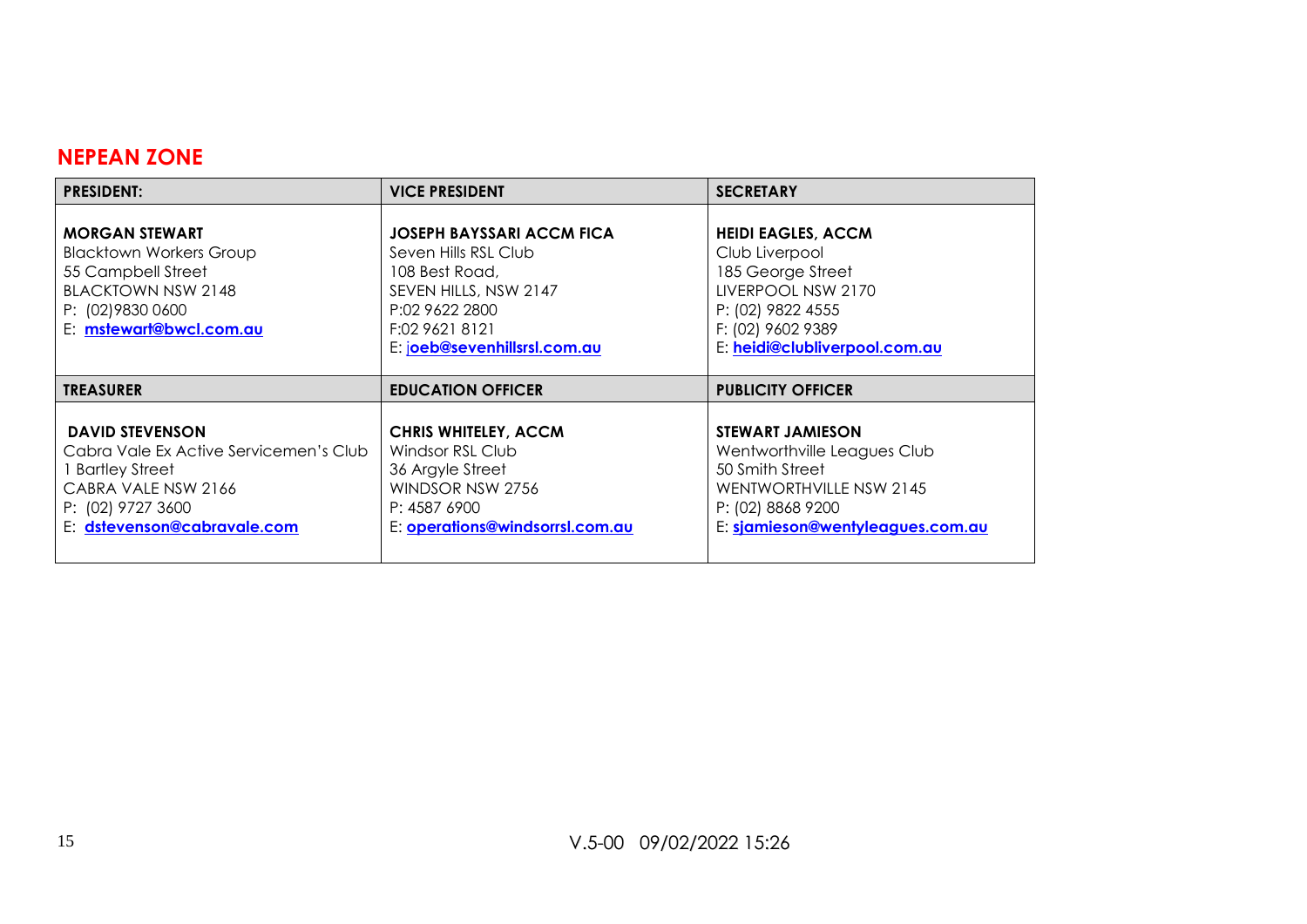#### **NEPEAN ZONE**

| <b>PRESIDENT:</b>                                                                                                                                          | <b>VICE PRESIDENT</b>                                                                                                                                            | <b>SECRETARY</b>                                                                                                                                                  |
|------------------------------------------------------------------------------------------------------------------------------------------------------------|------------------------------------------------------------------------------------------------------------------------------------------------------------------|-------------------------------------------------------------------------------------------------------------------------------------------------------------------|
| <b>MORGAN STEWART</b><br><b>Blacktown Workers Group</b><br>55 Campbell Street<br><b>BLACKTOWN NSW 2148</b><br>P: (02) 9830 0600<br>E: mstewart@bwcl.com.au | JOSEPH BAYSSARI ACCM FICA<br>Seven Hills RSL Club<br>108 Best Road,<br>SEVEN HILLS, NSW 2147<br>P:02 9622 2800<br>F:02 9621 8121<br>E: joeb@sevenhillsrsl.com.au | <b>HEIDI EAGLES, ACCM</b><br>Club Liverpool<br>185 George Street<br>LIVERPOOL NSW 2170<br>P: (02) 9822 4555<br>F: (02) 9602 9389<br>E: heidi@clubliverpool.com.au |
| <b>TREASURER</b>                                                                                                                                           | <b>EDUCATION OFFICER</b>                                                                                                                                         | <b>PUBLICITY OFFICER</b>                                                                                                                                          |
|                                                                                                                                                            |                                                                                                                                                                  |                                                                                                                                                                   |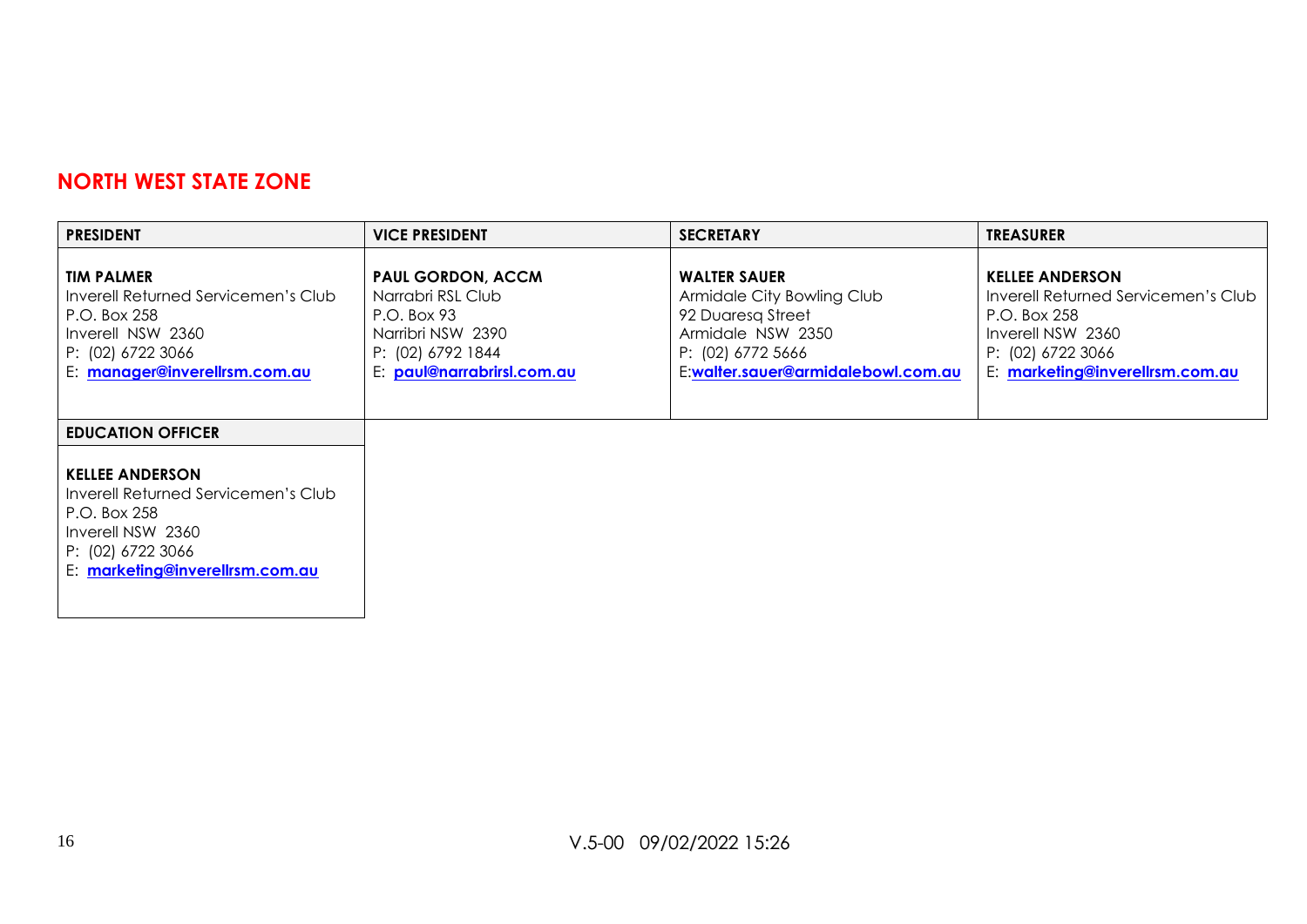#### **NORTH WEST STATE ZONE**

| <b>PRESIDENT</b>                                                                                                                                                                       | <b>VICE PRESIDENT</b>                                                                                                                | <b>SECRETARY</b>                                                                                                                                       | <b>TREASURER</b>                                                                                                                                           |
|----------------------------------------------------------------------------------------------------------------------------------------------------------------------------------------|--------------------------------------------------------------------------------------------------------------------------------------|--------------------------------------------------------------------------------------------------------------------------------------------------------|------------------------------------------------------------------------------------------------------------------------------------------------------------|
| <b>TIM PALMER</b><br>Inverell Returned Servicemen's Club<br>P.O. Box 258<br>Inverell NSW 2360<br>P: (02) 6722 3066<br>E: manager@inverellrsm.com.au                                    | <b>PAUL GORDON, ACCM</b><br>Narrabri RSL Club<br>P.O. Box 93<br>Narribri NSW 2390<br>P: (02) 6792 1844<br>E: paul@narrabrirsl.com.au | <b>WALTER SAUER</b><br>Armidale City Bowling Club<br>92 Duaresa Street<br>Armidale NSW 2350<br>P: (02) 6772 5666<br>E:walter.sauer@armidalebowl.com.au | <b>KELLEE ANDERSON</b><br>Inverell Returned Servicemen's Club<br>P.O. Box 258<br>Inverell NSW 2360<br>P: (02) 6722 3066<br>E: marketing@inverellrsm.com.au |
| <b>EDUCATION OFFICER</b><br><b>KELLEE ANDERSON</b><br>Inverell Returned Servicemen's Club<br>P.O. Box 258<br>Inverell NSW 2360<br>P: (02) 6722 3066<br>E: marketing@inverellrsm.com.au |                                                                                                                                      |                                                                                                                                                        |                                                                                                                                                            |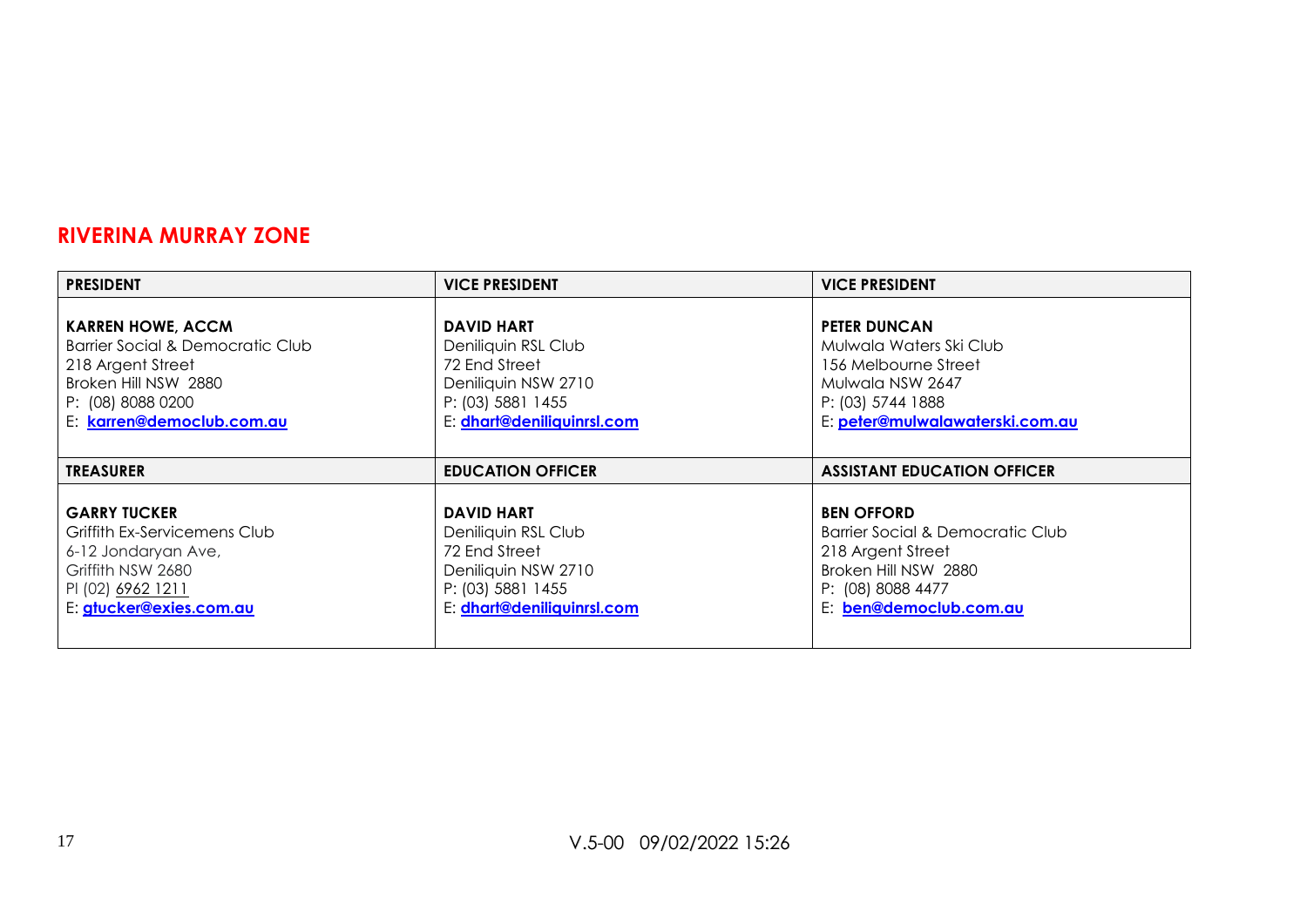#### **RIVERINA MURRAY ZONE**

| <b>PRESIDENT</b>                                                                                                                                            | <b>VICE PRESIDENT</b>                                                                                                               | <b>VICE PRESIDENT</b>                                                                                                                              |
|-------------------------------------------------------------------------------------------------------------------------------------------------------------|-------------------------------------------------------------------------------------------------------------------------------------|----------------------------------------------------------------------------------------------------------------------------------------------------|
| <b>KARREN HOWE, ACCM</b><br>Barrier Social & Democratic Club<br>218 Argent Street<br>Broken Hill NSW 2880<br>P: (08) 8088 0200<br>E: karren@democlub.com.au | <b>DAVID HART</b><br>Deniliquin RSL Club<br>72 End Street<br>Deniliquin NSW 2710<br>P: (03) 5881 1455<br>E: dhart@deniliquinrsl.com | <b>PETER DUNCAN</b><br>Mulwala Waters Ski Club<br>156 Melbourne Street<br>Mulwala NSW 2647<br>P: (03) 5744 1888<br>E: peter@mulwalawaterski.com.au |
|                                                                                                                                                             |                                                                                                                                     |                                                                                                                                                    |
| <b>TREASURER</b>                                                                                                                                            | <b>EDUCATION OFFICER</b>                                                                                                            | <b>ASSISTANT EDUCATION OFFICER</b>                                                                                                                 |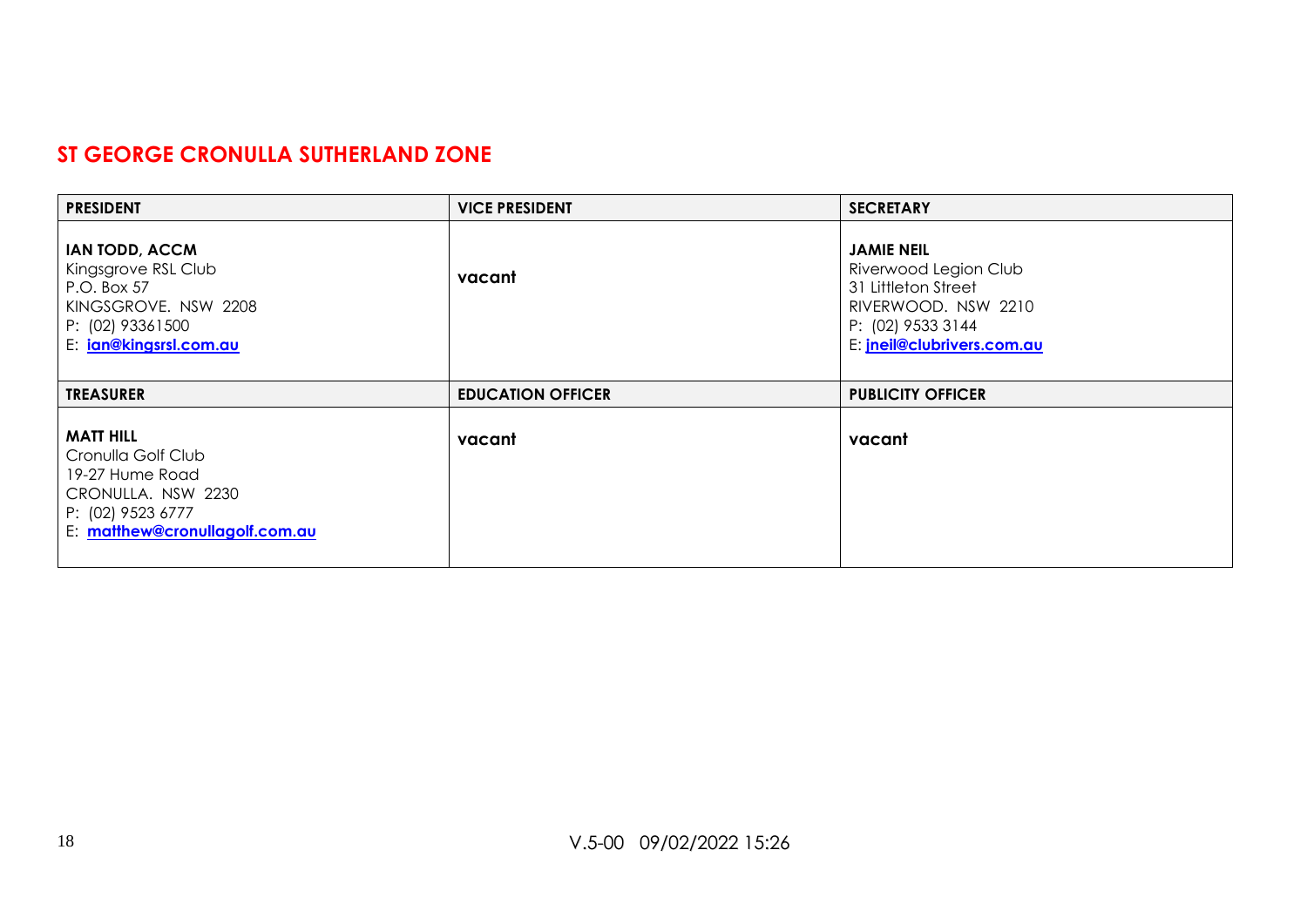#### **ST GEORGE CRONULLA SUTHERLAND ZONE**

| <b>PRESIDENT</b>                                                                                                                  | <b>VICE PRESIDENT</b>    | <b>SECRETARY</b>                                                                                                                                   |
|-----------------------------------------------------------------------------------------------------------------------------------|--------------------------|----------------------------------------------------------------------------------------------------------------------------------------------------|
| <b>IAN TODD, ACCM</b><br>Kingsgrove RSL Club<br>P.O. Box 57<br>KINGSGROVE, NSW 2208<br>P: (02) 93361500<br>E: jan@kingsrsl.com.au | vacant                   | <b>JAMIE NEIL</b><br>Riverwood Legion Club<br>31 Littleton Street<br>RIVERWOOD. NSW 2210<br>P: (02) 9533 3144<br>E: <i>jneil@clubrivers.com.au</i> |
| <b>TREASURER</b>                                                                                                                  | <b>EDUCATION OFFICER</b> | <b>PUBLICITY OFFICER</b>                                                                                                                           |
| <b>MATT HILL</b><br>Cronulla Golf Club<br>19-27 Hume Road<br>CRONULLA, NSW 2230<br>P: (02) 9523 6777                              | vacant                   | vacant                                                                                                                                             |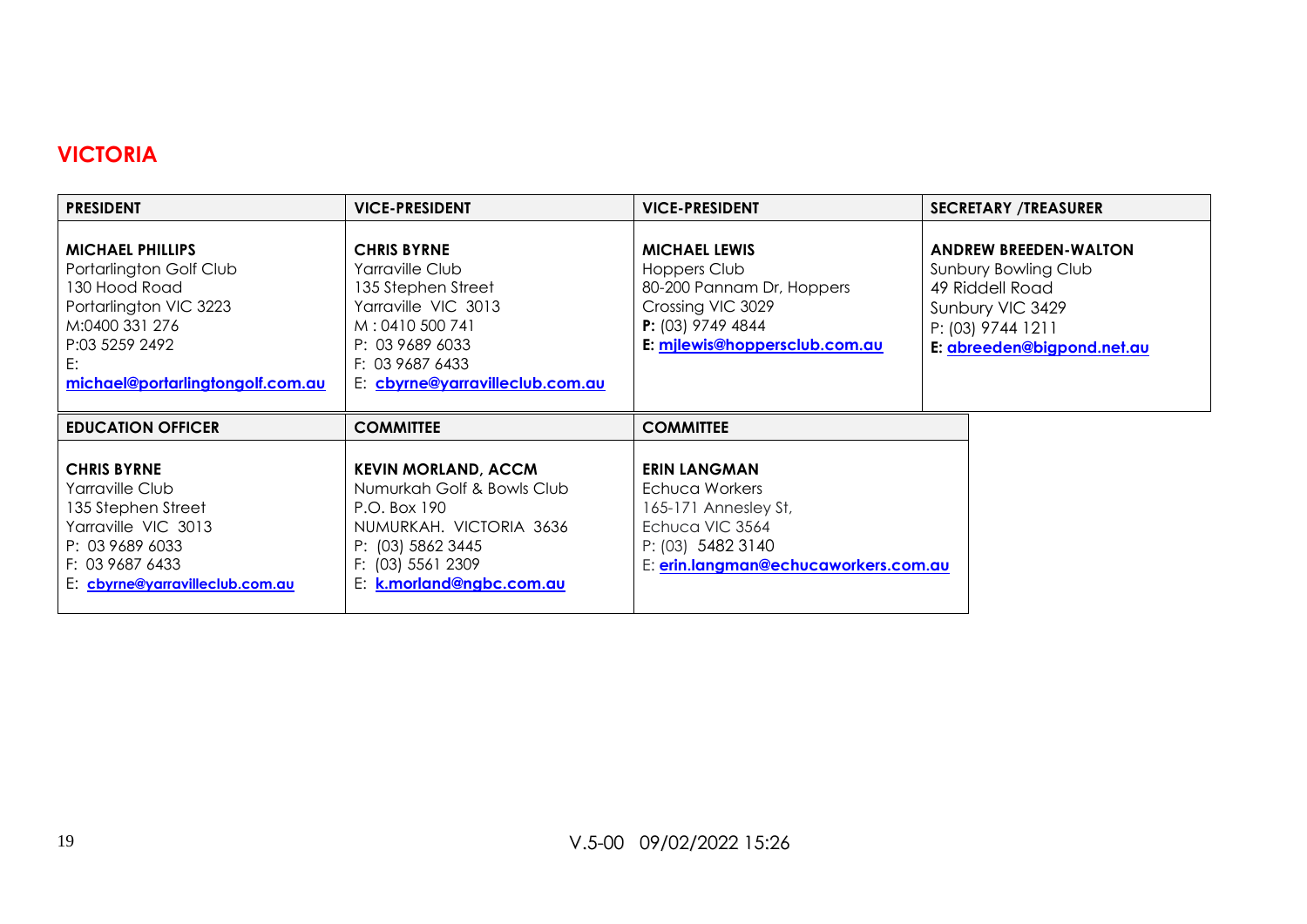# **VICTORIA**

| <b>PRESIDENT</b>                                                                                                                                                            | <b>VICE-PRESIDENT</b>                                                                                                                                                          | <b>VICE-PRESIDENT</b>                                                                                                                          | <b>SECRETARY /TREASURER</b>                                                                                                                    |
|-----------------------------------------------------------------------------------------------------------------------------------------------------------------------------|--------------------------------------------------------------------------------------------------------------------------------------------------------------------------------|------------------------------------------------------------------------------------------------------------------------------------------------|------------------------------------------------------------------------------------------------------------------------------------------------|
| <b>MICHAEL PHILLIPS</b><br>Portarlington Golf Club<br>130 Hood Road<br>Portarlington VIC 3223<br>M:0400 331 276<br>P:03 5259 2492<br>E:<br>michael@portarlingtongolf.com.au | <b>CHRIS BYRNE</b><br>Yarraville Club<br>135 Stephen Street<br>Yarraville VIC 3013<br>M: 0410 500 741<br>P: 03 9689 6033<br>F: 03 9687 6433<br>E: cbyrne@yarravilleclub.com.au | <b>MICHAEL LEWIS</b><br>Hoppers Club<br>80-200 Pannam Dr, Hoppers<br>Crossing VIC 3029<br>$P: (03)$ 9749 4844<br>E: milewis@hoppersclub.com.au | <b>ANDREW BREEDEN-WALTON</b><br>Sunbury Bowling Club<br>49 Riddell Road<br>Sunbury VIC 3429<br>P: (03) 9744 1211<br>E: abreeden@bigpond.net.au |
| <b>EDUCATION OFFICER</b>                                                                                                                                                    | <b>COMMITTEE</b>                                                                                                                                                               | <b>COMMITTEE</b>                                                                                                                               |                                                                                                                                                |
| <b>CHRIS BYRNE</b><br>Yarraville Club<br>135 Stephen Street<br>Yarraville VIC 3013<br>P: 03 9689 6033<br>F: 03 9687 6433<br>E: cbyrne@yarravilleclub.com.au                 | <b>KEVIN MORLAND, ACCM</b><br>Numurkah Golf & Bowls Club<br>P.O. Box 190<br>NUMURKAH. VICTORIA 3636<br>P: (03) 5862 3445<br>F: (03) 5561 2309<br>E: k.morland@ngbc.com.au      | <b>ERIN LANGMAN</b><br>Echuca Workers<br>165-171 Annesley St,<br>Echuca VIC 3564<br>P: (03) 5482 3140<br>E: erin.langman@echucaworkers.com.au  |                                                                                                                                                |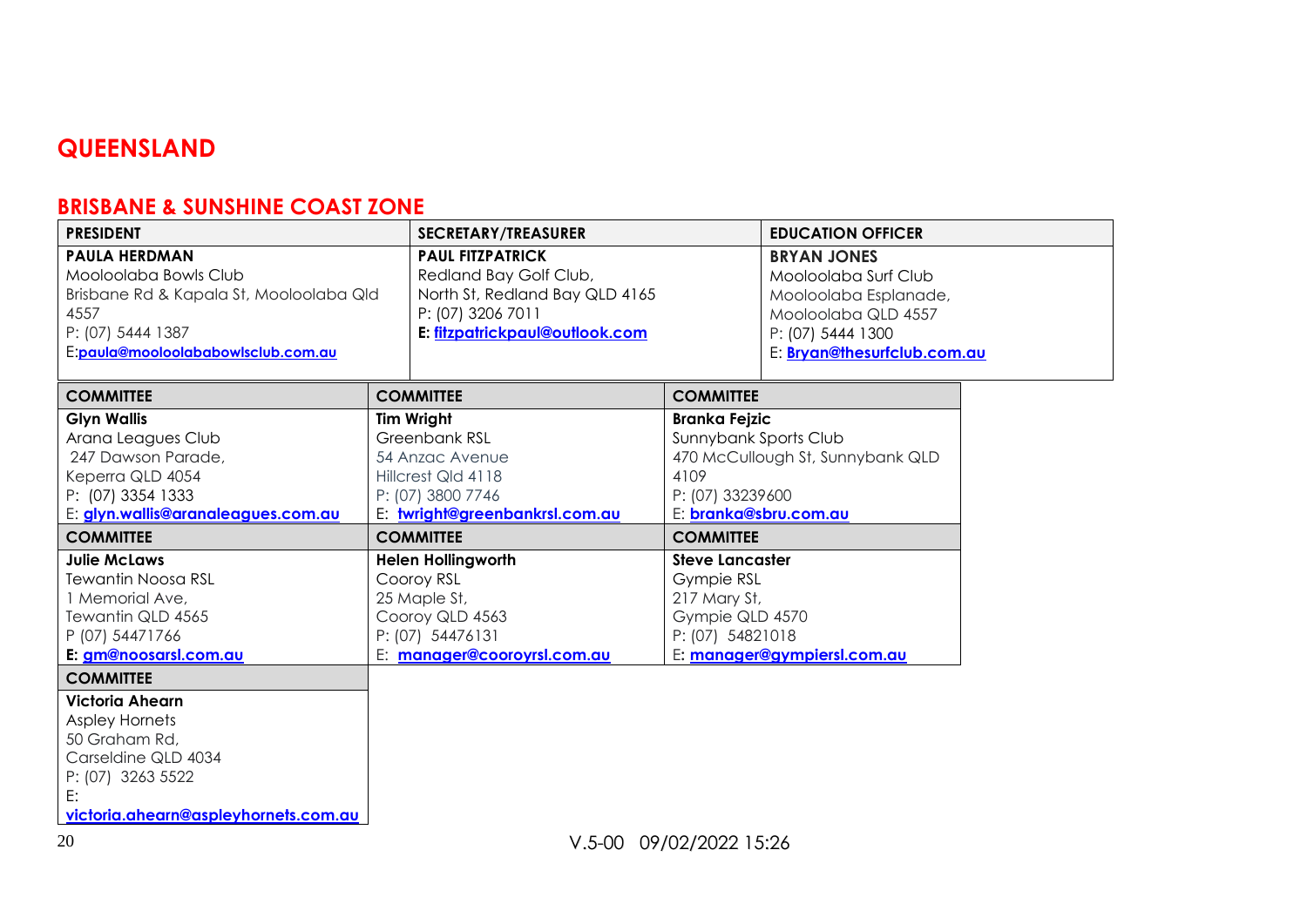# **QUEENSLAND**

# **BRISBANE & SUNSHINE COAST ZONE**

| <b>PRESIDENT</b>                                                                                                                                                               | <b>SECRETARY/TREASURER</b>                                                                                                                 |                                                                                                    | <b>EDUCATION OFFICER</b>                                                                                                                       |  |
|--------------------------------------------------------------------------------------------------------------------------------------------------------------------------------|--------------------------------------------------------------------------------------------------------------------------------------------|----------------------------------------------------------------------------------------------------|------------------------------------------------------------------------------------------------------------------------------------------------|--|
| <b>PAULA HERDMAN</b><br>Mooloolaba Bowls Club<br>Brisbane Rd & Kapala St, Mooloolaba Qld<br>4557<br>P: (07) 5444 1387<br>E:paula@mooloolababowlsclub.com.au                    | <b>PAUL FITZPATRICK</b><br>Redland Bay Golf Club,<br>North St, Redland Bay QLD 4165<br>P: (07) 3206 7011<br>E: fitzpatrickpaul@outlook.com |                                                                                                    | <b>BRYAN JONES</b><br>Mooloolaba Surf Club<br>Mooloolaba Esplanade,<br>Mooloolaba QLD 4557<br>P: (07) 5444 1300<br>E: Bryan@thesurfclub.com.au |  |
| <b>COMMITTEE</b>                                                                                                                                                               | <b>COMMITTEE</b>                                                                                                                           | <b>COMMITTEE</b>                                                                                   |                                                                                                                                                |  |
| <b>Glyn Wallis</b><br>Arana Leagues Club<br>247 Dawson Parade,<br>Keperra QLD 4054<br>P: (07) 3354 1333<br>E: glyn.wallis@aranaleagues.com.au                                  | <b>Tim Wright</b><br><b>Greenbank RSL</b><br>54 Anzac Avenue<br>Hillcrest Qld 4118<br>P: (07) 3800 7746<br>E: twright@greenbankrsl.com.au  | <b>Branka Fejzic</b><br>4109<br>P: (07) 33239600                                                   | Sunnybank Sports Club<br>470 McCullough St, Sunnybank QLD<br>E: branka@sbru.com.au                                                             |  |
| <b>COMMITTEE</b>                                                                                                                                                               | <b>COMMITTEE</b>                                                                                                                           | <b>COMMITTEE</b>                                                                                   |                                                                                                                                                |  |
| <b>Julie McLaws</b><br>Tewantin Noosa RSL<br>1 Memorial Ave,<br>Tewantin QLD 4565<br>P (07) 54471766<br>E: gm@noosarsl.com.au                                                  | <b>Helen Hollingworth</b><br>Cooroy RSL<br>25 Maple St,<br>Cooroy QLD 4563<br>P: (07) 54476131<br>E: manager@cooroyrsl.com.au              | <b>Steve Lancaster</b><br><b>Gympie RSL</b><br>217 Mary St,<br>Gympie QLD 4570<br>P: (07) 54821018 | E: manager@gympiersl.com.au                                                                                                                    |  |
| <b>COMMITTEE</b><br><b>Victoria Ahearn</b><br><b>Aspley Hornets</b><br>50 Graham Rd,<br>Carseldine QLD 4034<br>P: (07) 3263 5522<br>E:<br>victoria.ahearn@aspleyhornets.com.au |                                                                                                                                            |                                                                                                    |                                                                                                                                                |  |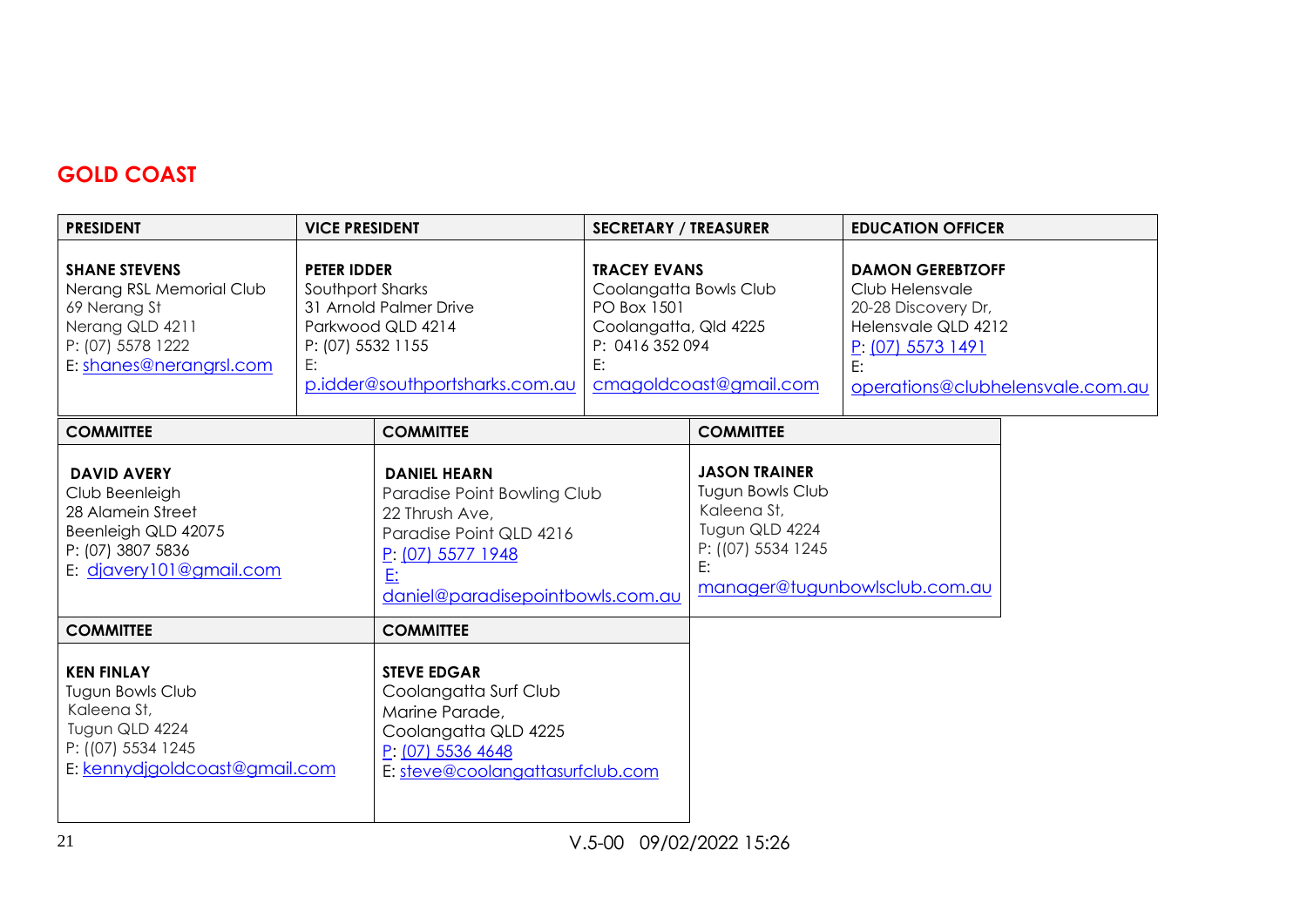# **GOLD COAST**

| <b>PRESIDENT</b>                                                                                                                    | <b>VICE PRESIDENT</b>                                             |                                                                                                                                                                  | <b>SECRETARY / TREASURER</b>                                                                                   |                                                                                                              | <b>EDUCATION OFFICER</b>                                                                                                                                |  |
|-------------------------------------------------------------------------------------------------------------------------------------|-------------------------------------------------------------------|------------------------------------------------------------------------------------------------------------------------------------------------------------------|----------------------------------------------------------------------------------------------------------------|--------------------------------------------------------------------------------------------------------------|---------------------------------------------------------------------------------------------------------------------------------------------------------|--|
| <b>SHANE STEVENS</b><br>Nerang RSL Memorial Club<br>69 Nerang St<br>Nerang QLD 4211<br>P: (07) 5578 1222<br>E: shanes@nerangrsl.com | <b>PETER IDDER</b><br>Southport Sharks<br>P: (07) 5532 1155<br>E: | 31 Arnold Palmer Drive<br>Parkwood QLD 4214<br>p.idder@southportsharks.com.au                                                                                    | <b>TRACEY EVANS</b><br>Coolangatta Bowls Club<br>PO Box 1501<br>Coolangatta, Qld 4225<br>P: 0416 352 094<br>E: | cmagoldcoast@gmail.com                                                                                       | <b>DAMON GEREBTZOFF</b><br>Club Helensvale<br>20-28 Discovery Dr,<br>Helensvale QLD 4212<br>P: (07) 5573 1491<br>E:<br>operations@clubhelensvale.com.au |  |
| <b>COMMITTEE</b>                                                                                                                    |                                                                   | <b>COMMITTEE</b>                                                                                                                                                 |                                                                                                                | <b>COMMITTEE</b>                                                                                             |                                                                                                                                                         |  |
| <b>DAVID AVERY</b><br>Club Beenleigh<br>28 Alamein Street<br>Beenleigh QLD 42075<br>P: (07) 3807 5836<br>E: diavery101@gmail.com    |                                                                   | <b>DANIEL HEARN</b><br>Paradise Point Bowling Club<br>22 Thrush Ave,<br>Paradise Point QLD 4216<br>$P: (07)$ 5577 1948<br>E:<br>daniel@paradisepointbowls.com.au |                                                                                                                | <b>JASON TRAINER</b><br><b>Tugun Bowls Club</b><br>Kaleena St,<br>Tugun QLD 4224<br>P: ((07) 5534 1245<br>E: | manager@tugunbowlsclub.com.au                                                                                                                           |  |
| <b>COMMITTEE</b>                                                                                                                    |                                                                   | <b>COMMITTEE</b>                                                                                                                                                 |                                                                                                                |                                                                                                              |                                                                                                                                                         |  |
| <b>KEN FINLAY</b><br>Tugun Bowls Club<br>Kaleena St,<br>Tugun QLD 4224<br>P: ((07) 5534 1245<br>E: kennydigoldcoast@gmail.com       |                                                                   | <b>STEVE EDGAR</b><br>Coolangatta Surf Club<br>Marine Parade,<br>Coolangatta QLD 4225<br>P: (07) 5536 4648<br>E: steve@coolangattasurfclub.com                   |                                                                                                                |                                                                                                              |                                                                                                                                                         |  |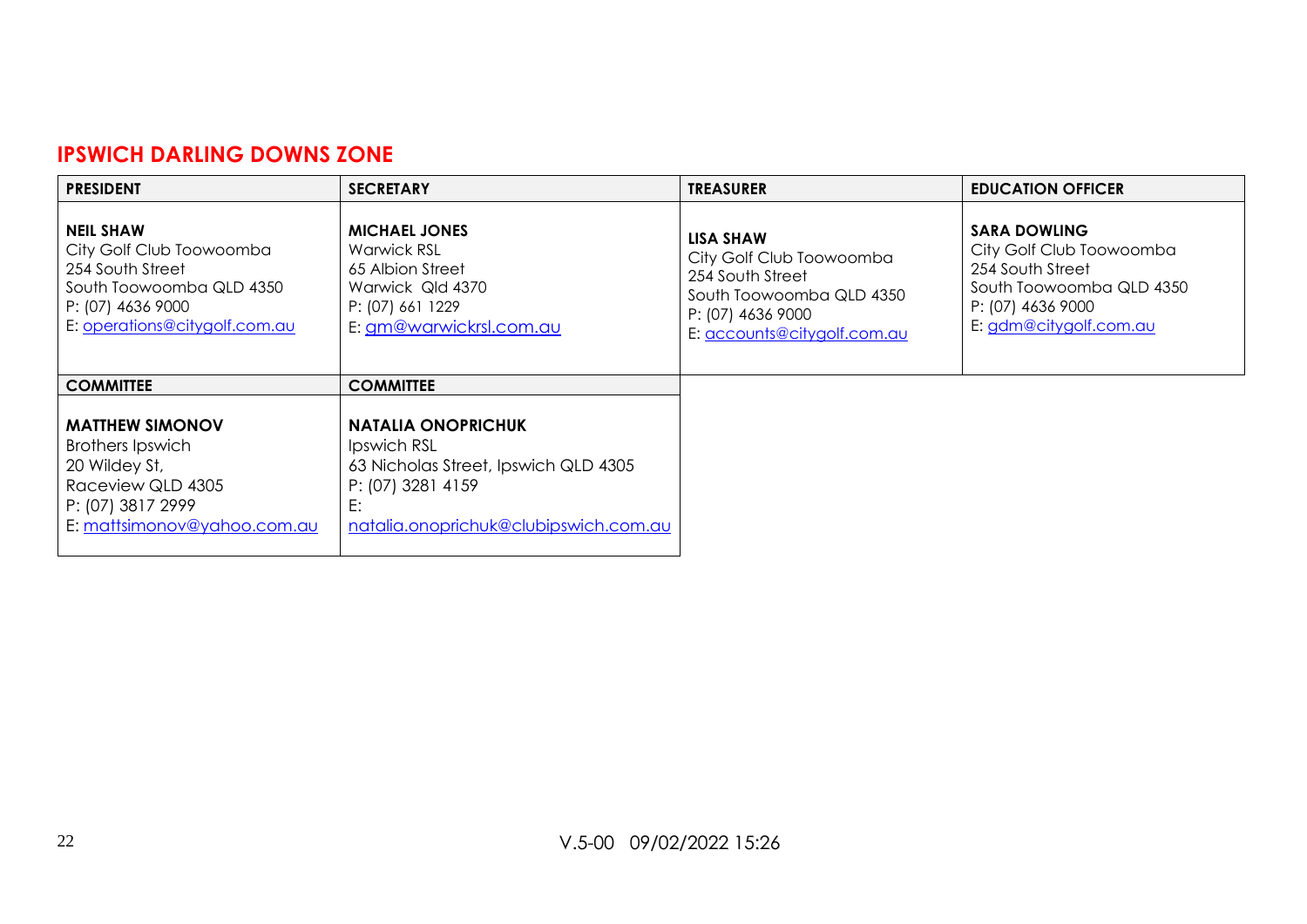#### **IPSWICH DARLING DOWNS ZONE**

| <b>PRESIDENT</b>                                                                                                                                   | <b>SECRETARY</b>                                                                                                                                     | <b>TREASURER</b>                                                                                                                          | <b>EDUCATION OFFICER</b>                                                                                                                       |
|----------------------------------------------------------------------------------------------------------------------------------------------------|------------------------------------------------------------------------------------------------------------------------------------------------------|-------------------------------------------------------------------------------------------------------------------------------------------|------------------------------------------------------------------------------------------------------------------------------------------------|
| <b>NEIL SHAW</b><br>City Golf Club Toowoomba<br>254 South Street<br>South Toowoomba QLD 4350<br>P: (07) 4636 9000<br>E: operations@citygolf.com.au | <b>MICHAEL JONES</b><br><b>Warwick RSL</b><br>65 Albion Street<br>Warwick Qld 4370<br>P: (07) 661 1229<br>E: gm@warwickrsl.com.au                    | LISA SHAW<br>City Golf Club Toowoomba<br>254 South Street<br>South Toowoomba QLD 4350<br>P: (07) 4636 9000<br>E: accounts@citygolf.com.au | <b>SARA DOWLING</b><br>City Golf Club Toowoomba<br>254 South Street<br>South Toowoomba QLD 4350<br>P: (07) 4636 9000<br>E: gdm@citygolf.com.au |
| <b>COMMITTEE</b>                                                                                                                                   | <b>COMMITTEE</b>                                                                                                                                     |                                                                                                                                           |                                                                                                                                                |
| <b>MATTHEW SIMONOV</b><br><b>Brothers Ipswich</b><br>20 Wildey St,<br>Raceview QLD 4305<br>P: (07) 3817 2999<br>E: mattsimonov@yahoo.com.au        | <b>NATALIA ONOPRICHUK</b><br>Ipswich RSL<br>63 Nicholas Street, Ipswich QLD 4305<br>P: (07) 3281 4159<br>E:<br>natalia.onoprichuk@clubipswich.com.au |                                                                                                                                           |                                                                                                                                                |